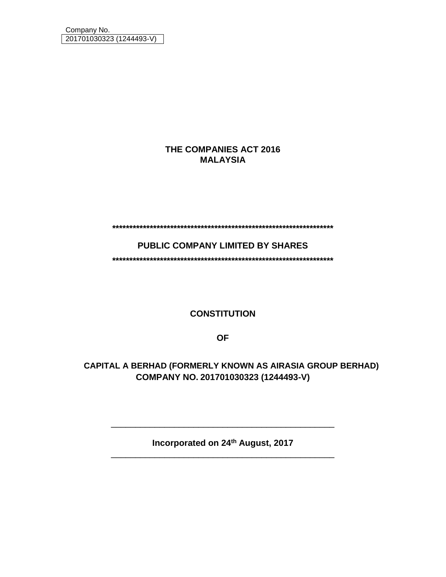## **THE COMPANIES ACT 2016 MALAYSIA**

**\*\*\*\*\*\*\*\*\*\*\*\*\*\*\*\*\*\*\*\*\*\*\*\*\*\*\*\*\*\*\*\*\*\*\*\*\*\*\*\*\*\*\*\*\*\*\*\*\*\*\*\*\*\*\*\*\*\*\*\*\*\*\*\*\***

**PUBLIC COMPANY LIMITED BY SHARES**

**\*\*\*\*\*\*\*\*\*\*\*\*\*\*\*\*\*\*\*\*\*\*\*\*\*\*\*\*\*\*\*\*\*\*\*\*\*\*\*\*\*\*\*\*\*\*\*\*\*\*\*\*\*\*\*\*\*\*\*\*\*\*\*\*\***

**CONSTITUTION**

**OF**

**AIRASIA GROUP BERHAD CAPITAL A BERHAD (FORMERLY KNOWN AS AIRASIA GROUP BERHAD)COMPANY NO. 201701030323 (1244493-V)**

**Incorporated on 24th August, 2017** \_\_\_\_\_\_\_\_\_\_\_\_\_\_\_\_\_\_\_\_\_\_\_\_\_\_\_\_\_\_\_\_\_\_\_\_\_\_\_\_\_\_\_\_\_\_

\_\_\_\_\_\_\_\_\_\_\_\_\_\_\_\_\_\_\_\_\_\_\_\_\_\_\_\_\_\_\_\_\_\_\_\_\_\_\_\_\_\_\_\_\_\_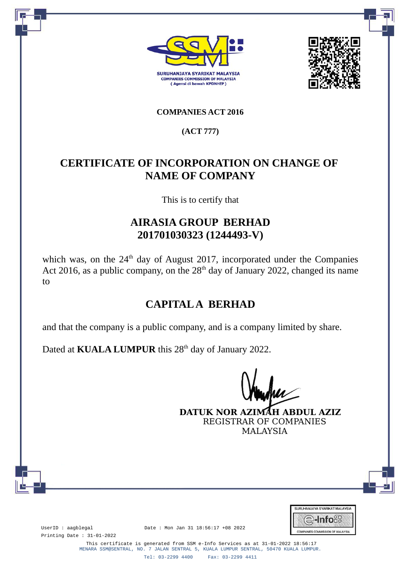



## **COMPANIES ACT 2016**

**(ACT 777)**

# **CERTIFICATE OF INCORPORATION ON CHANGE OF NAME OF COMPANY**

This is to certify that

## **AIRASIA GROUP BERHAD 201701030323 (1244493-V)**

which was, on the  $24<sup>th</sup>$  day of August 2017, incorporated under the Companies Act 2016, as a public company, on the  $28<sup>th</sup>$  day of January 2022, changed its name to

# **CAPITAL A BERHAD**

and that the company is a public company, and is a company limited by share.

Dated at **KUALA LUMPUR** this 28<sup>th</sup> day of January 2022.

**DATUK NOR AZIMAH ABDUL AZIZ** REGISTRAR OF COMPANIES MALAYSIA



Printing Date : 31-01-2022

UserID : aagblegal Date : Mon Jan 31 18:56:17 +08 2022

This certificate is generated from SSM e-Info Services as at 31-01-2022 18:56:17 MENARA SSM@SENTRAL, NO. 7 JALAN SENTRAL 5, KUALA LUMPUR SENTRAL, 50470 KUALA LUMPUR.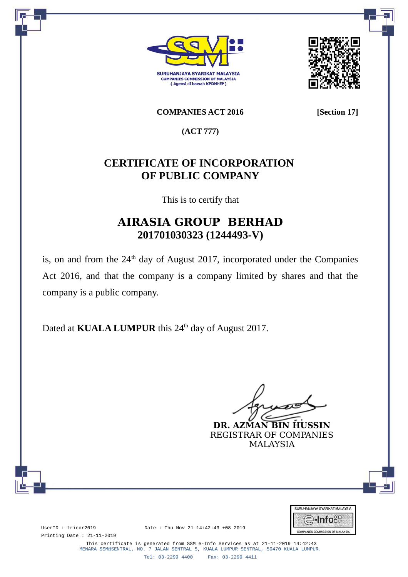



**COMPANIES ACT 2016 [Section 17]**

**(ACT 777)**

# **CERTIFICATE OF INCORPORATION OF PUBLIC COMPANY**

This is to certify that

# **AIRASIA GROUP BERHAD 201701030323 (1244493-V)**

is, on and from the  $24<sup>th</sup>$  day of August 2017, incorporated under the Companies Act 2016, and that the company is a company limited by shares and that the company is a public company.

Dated at **KUALA LUMPUR** this 24<sup>th</sup> day of August 2017.

**DR. AZMAN BIN HUSSIN**

REGISTRAR OF COMPANIES MALAYSIA



Printing Date : 21-11-2019

UserID : tricor2019 Date : Thu Nov 21 14:42:43 +08 2019

This certificate is generated from SSM e-Info Services as at 21-11-2019 14:42:43 MENARA SSM@SENTRAL, NO. 7 JALAN SENTRAL 5, KUALA LUMPUR SENTRAL, 50470 KUALA LUMPUR.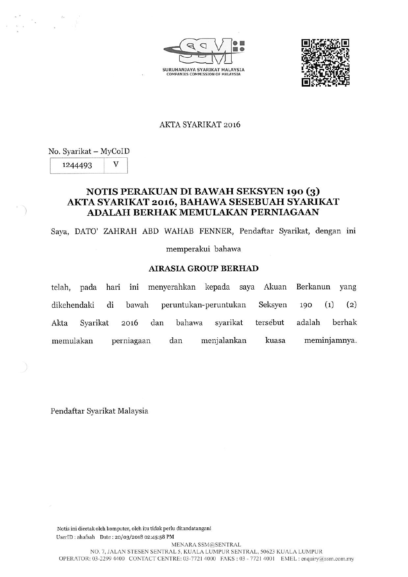



### **AKTA SYARIKAT 2016**

No. Syarikat - MyCoID

 $\mathbf{V}$ 1244493

## NOTIS PERAKUAN DI BAWAH SEKSYEN 190 (3) AKTA SYARIKAT 2016, BAHAWA SESEBUAH SYARIKAT **ADALAH BERHAK MEMULAKAN PERNIAGAAN**

Saya, DATO' ZAHRAH ABD WAHAB FENNER, Pendaftar Syarikat, dengan ini

memperakui bahawa

### **AIRASIA GROUP BERHAD**

ini menyerahkan kepada saya Akuan Berkanun telah, pada hari yang dikehendaki di bawah peruntukan-peruntukan Seksyen  $(1)$  $(2)$ 190 bahawa syarikat tersebut adalah berhak Akta Svarikat 2016 dan meminjamnya. menjalankan memulakan perniagaan dan kuasa

Pendaftar Syarikat Malaysia

Notis ini dicetak oleh komputer, oleh itu tidak perlu ditandatangani UserID: ahafsah Date: 20/03/2018 02:45:58 PM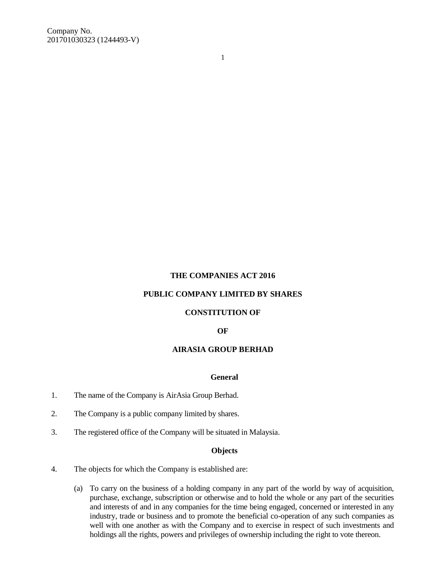1

#### **THE COMPANIES ACT 2016**

#### **PUBLIC COMPANY LIMITED BY SHARES**

#### **CONSTITUTION OF**

#### **OF**

#### **AIRASIA GROUP BERHAD**

#### **General**

- 1. The name of the Company is AirAsia Group Berhad.
- 2. The Company is a public company limited by shares.
- 3. The registered office of the Company will be situated in Malaysia.

#### **Objects**

- 4. The objects for which the Company is established are:
	- (a) To carry on the business of a holding company in any part of the world by way of acquisition, purchase, exchange, subscription or otherwise and to hold the whole or any part of the securities and interests of and in any companies for the time being engaged, concerned or interested in any industry, trade or business and to promote the beneficial co-operation of any such companies as well with one another as with the Company and to exercise in respect of such investments and holdings all the rights, powers and privileges of ownership including the right to vote thereon.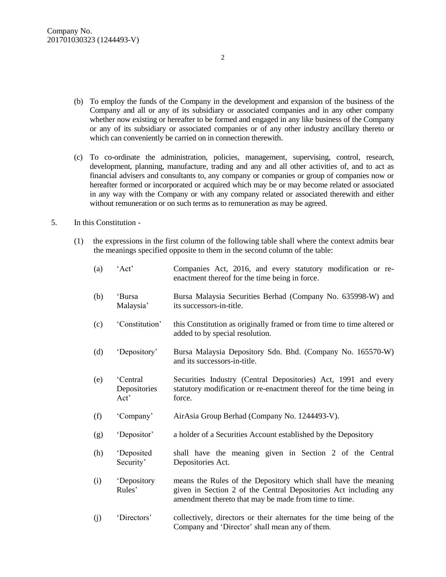- (b) To employ the funds of the Company in the development and expansion of the business of the Company and all or any of its subsidiary or associated companies and in any other company whether now existing or hereafter to be formed and engaged in any like business of the Company or any of its subsidiary or associated companies or of any other industry ancillary thereto or which can conveniently be carried on in connection therewith.
- (c) To co-ordinate the administration, policies, management, supervising, control, research, development, planning, manufacture, trading and any and all other activities of, and to act as financial advisers and consultants to, any company or companies or group of companies now or hereafter formed or incorporated or acquired which may be or may become related or associated in any way with the Company or with any company related or associated therewith and either without remuneration or on such terms as to remuneration as may be agreed.
- 5. In this Constitution
	- (1) the expressions in the first column of the following table shall where the context admits bear the meanings specified opposite to them in the second column of the table:

| (a) | 'Act'                            | Companies Act, 2016, and every statutory modification or re-<br>enactment thereof for the time being in force.                                                                              |
|-----|----------------------------------|---------------------------------------------------------------------------------------------------------------------------------------------------------------------------------------------|
| (b) | 'Bursa<br>Malaysia'              | Bursa Malaysia Securities Berhad (Company No. 635998-W) and<br>its successors-in-title.                                                                                                     |
| (c) | 'Constitution'                   | this Constitution as originally framed or from time to time altered or<br>added to by special resolution.                                                                                   |
| (d) | 'Depository'                     | Bursa Malaysia Depository Sdn. Bhd. (Company No. 165570-W)<br>and its successors-in-title.                                                                                                  |
| (e) | 'Central<br>Depositories<br>Act' | Securities Industry (Central Depositories) Act, 1991 and every<br>statutory modification or re-enactment thereof for the time being in<br>force.                                            |
| (f) | 'Company'                        | AirAsia Group Berhad (Company No. 1244493-V).                                                                                                                                               |
| (g) | 'Depositor'                      | a holder of a Securities Account established by the Depository                                                                                                                              |
| (h) | 'Deposited<br>Security'          | shall have the meaning given in Section 2 of the Central<br>Depositories Act.                                                                                                               |
| (i) | <i>'Depository</i><br>Rules'     | means the Rules of the Depository which shall have the meaning<br>given in Section 2 of the Central Depositories Act including any<br>amendment thereto that may be made from time to time. |
| (j) | 'Directors'                      | collectively, directors or their alternates for the time being of the<br>Company and 'Director' shall mean any of them.                                                                     |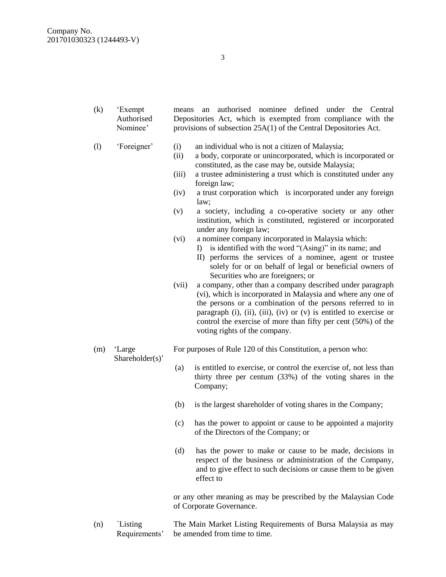- (k) 'Exempt Authorised Nominee' means an authorised nominee defined under the Central Depositories Act, which is exempted from compliance with the provisions of subsection 25A(1) of the Central Depositories Act.
- (l) 'Foreigner' (i) an individual who is not a citizen of Malaysia;
	- (ii) a body, corporate or unincorporated, which is incorporated or constituted, as the case may be, outside Malaysia;
	- (iii) a trustee administering a trust which is constituted under any foreign law;
	- (iv) a trust corporation which is incorporated under any foreign law;
	- (v) a society, including a co-operative society or any other institution, which is constituted, registered or incorporated under any foreign law;
	- (vi) a nominee company incorporated in Malaysia which:
		- I) is identified with the word "(Asing)" in its name; and
		- II) performs the services of a nominee, agent or trustee solely for or on behalf of legal or beneficial owners of Securities who are foreigners; or
	- (vii) a company, other than a company described under paragraph (vi), which is incorporated in Malaysia and where any one of the persons or a combination of the persons referred to in paragraph (i), (ii), (iii), (iv) or (v) is entitled to exercise or control the exercise of more than fifty per cent (50%) of the voting rights of the company.
- (m) 'Large For purposes of Rule 120 of this Constitution, a person who:
	- (a) is entitled to exercise, or control the exercise of, not less than thirty three per centum (33%) of the voting shares in the Company;
	- (b) is the largest shareholder of voting shares in the Company;
	- (c) has the power to appoint or cause to be appointed a majority of the Directors of the Company; or
	- (d) has the power to make or cause to be made, decisions in respect of the business or administration of the Company, and to give effect to such decisions or cause them to be given effect to

or any other meaning as may be prescribed by the Malaysian Code of Corporate Governance.

(n) `Listing Requirements' The Main Market Listing Requirements of Bursa Malaysia as may be amended from time to time.

3

Shareholder(s)'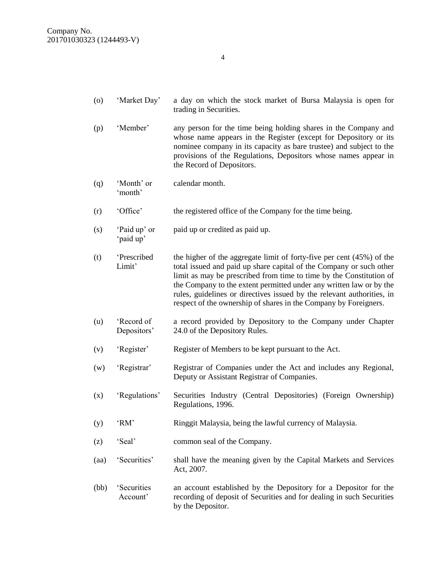- (o) 'Market Day' a day on which the stock market of Bursa Malaysia is open for trading in Securities.
- (p) 'Member' any person for the time being holding shares in the Company and whose name appears in the Register (except for Depository or its nominee company in its capacity as bare trustee) and subject to the provisions of the Regulations, Depositors whose names appear in the Record of Depositors.
- (q) 'Month' or 'month' calendar month.
- (r) 'Office' the registered office of the Company for the time being.
- (s) 'Paid up' or 'paid up' paid up or credited as paid up.
- (t) 'Prescribed Limit' the higher of the aggregate limit of forty-five per cent (45%) of the total issued and paid up share capital of the Company or such other limit as may be prescribed from time to time by the Constitution of the Company to the extent permitted under any written law or by the rules, guidelines or directives issued by the relevant authorities, in respect of the ownership of shares in the Company by Foreigners.
- (u) 'Record of Depositors' a record provided by Depository to the Company under Chapter 24.0 of the Depository Rules.
- (v) 'Register' Register of Members to be kept pursuant to the Act.
- (w) 'Registrar' Registrar of Companies under the Act and includes any Regional, Deputy or Assistant Registrar of Companies.
- (x) 'Regulations' Securities Industry (Central Depositories) (Foreign Ownership) Regulations, 1996.
- (y) 'RM' Ringgit Malaysia, being the lawful currency of Malaysia.
- (z) 'Seal' common seal of the Company.
- (aa) 'Securities' shall have the meaning given by the Capital Markets and Services Act, 2007.
- (bb) 'Securities Account' an account established by the Depository for a Depositor for the recording of deposit of Securities and for dealing in such Securities by the Depositor.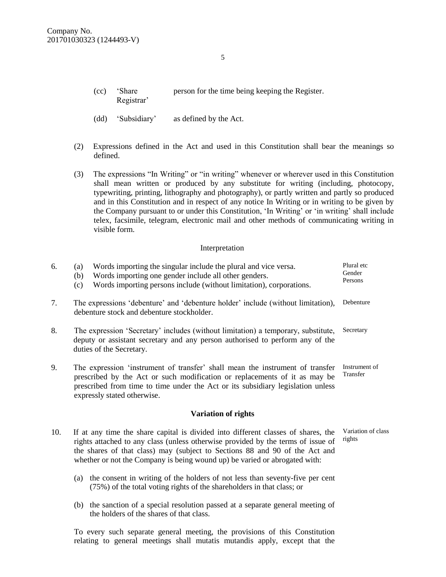- (cc) 'Share Registrar' person for the time being keeping the Register.
- (dd) 'Subsidiary' as defined by the Act.
- (2) Expressions defined in the Act and used in this Constitution shall bear the meanings so defined.
- (3) The expressions "In Writing" or "in writing" whenever or wherever used in this Constitution shall mean written or produced by any substitute for writing (including, photocopy, typewriting, printing, lithography and photography), or partly written and partly so produced and in this Constitution and in respect of any notice In Writing or in writing to be given by the Company pursuant to or under this Constitution, 'In Writing' or 'in writing' shall include telex, facsimile, telegram, electronic mail and other methods of communicating writing in visible form.

#### Interpretation

| 6.  | Words importing the singular include the plural and vice versa.<br>(a)<br>Words importing one gender include all other genders.<br>(b)<br>Words importing persons include (without limitation), corporations.<br>(c)                                                                                                               | Plural etc<br>Gender<br>Persons |  |
|-----|------------------------------------------------------------------------------------------------------------------------------------------------------------------------------------------------------------------------------------------------------------------------------------------------------------------------------------|---------------------------------|--|
| 7.  | Debenture<br>The expressions 'debenture' and 'debenture holder' include (without limitation),<br>debenture stock and debenture stockholder.                                                                                                                                                                                        |                                 |  |
| 8.  | The expression 'Secretary' includes (without limitation) a temporary, substitute,<br>Secretary<br>deputy or assistant secretary and any person authorised to perform any of the<br>duties of the Secretary.                                                                                                                        |                                 |  |
| 9.  | Instrument of<br>The expression 'instrument of transfer' shall mean the instrument of transfer<br>Transfer<br>prescribed by the Act or such modification or replacements of it as may be<br>prescribed from time to time under the Act or its subsidiary legislation unless<br>expressly stated otherwise.                         |                                 |  |
|     | <b>Variation of rights</b>                                                                                                                                                                                                                                                                                                         |                                 |  |
| 10. | If at any time the share capital is divided into different classes of shares, the<br>rights attached to any class (unless otherwise provided by the terms of issue of<br>the shares of that class) may (subject to Sections 88 and 90 of the Act and<br>whether or not the Company is being wound up) be varied or abrogated with: | Variation of class<br>rights    |  |
|     | the consent in writing of the holders of not less than seventy-five per cent<br>(a)<br>(75%) of the total voting rights of the shareholders in that class; or                                                                                                                                                                      |                                 |  |
|     | the sanction of a special resolution passed at a separate general meeting of<br>(b)<br>the holders of the shares of that class.                                                                                                                                                                                                    |                                 |  |
|     | To every such separate general meeting, the provisions of this Constitution                                                                                                                                                                                                                                                        |                                 |  |

To every such separate general meeting, the provisions of this Constitution relating to general meetings shall mutatis mutandis apply, except that the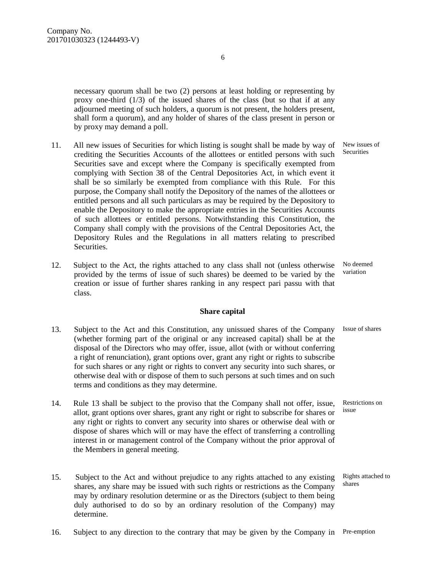necessary quorum shall be two (2) persons at least holding or representing by proxy one-third  $(1/3)$  of the issued shares of the class (but so that if at any adjourned meeting of such holders, a quorum is not present, the holders present, shall form a quorum), and any holder of shares of the class present in person or by proxy may demand a poll.

- 11. All new issues of Securities for which listing is sought shall be made by way of crediting the Securities Accounts of the allottees or entitled persons with such Securities save and except where the Company is specifically exempted from complying with Section 38 of the Central Depositories Act, in which event it shall be so similarly be exempted from compliance with this Rule. For this purpose, the Company shall notify the Depository of the names of the allottees or entitled persons and all such particulars as may be required by the Depository to enable the Depository to make the appropriate entries in the Securities Accounts of such allottees or entitled persons. Notwithstanding this Constitution, the Company shall comply with the provisions of the Central Depositories Act, the Depository Rules and the Regulations in all matters relating to prescribed **Securities**
- 12. Subject to the Act, the rights attached to any class shall not (unless otherwise provided by the terms of issue of such shares) be deemed to be varied by the creation or issue of further shares ranking in any respect pari passu with that class.

#### **Share capital**

- 13. Subject to the Act and this Constitution, any unissued shares of the Company Issue of shares (whether forming part of the original or any increased capital) shall be at the disposal of the Directors who may offer, issue, allot (with or without conferring a right of renunciation), grant options over, grant any right or rights to subscribe for such shares or any right or rights to convert any security into such shares, or otherwise deal with or dispose of them to such persons at such times and on such terms and conditions as they may determine.
- 14. Rule 13 shall be subject to the proviso that the Company shall not offer, issue, allot, grant options over shares, grant any right or right to subscribe for shares or any right or rights to convert any security into shares or otherwise deal with or dispose of shares which will or may have the effect of transferring a controlling interest in or management control of the Company without the prior approval of the Members in general meeting.
- 15. Subject to the Act and without prejudice to any rights attached to any existing shares, any share may be issued with such rights or restrictions as the Company may by ordinary resolution determine or as the Directors (subject to them being duly authorised to do so by an ordinary resolution of the Company) may determine. shares
- 16. Subject to any direction to the contrary that may be given by the Company in Pre-emption

New issues of Securities

No deemed variation

Restrictions on issue

Rights attached to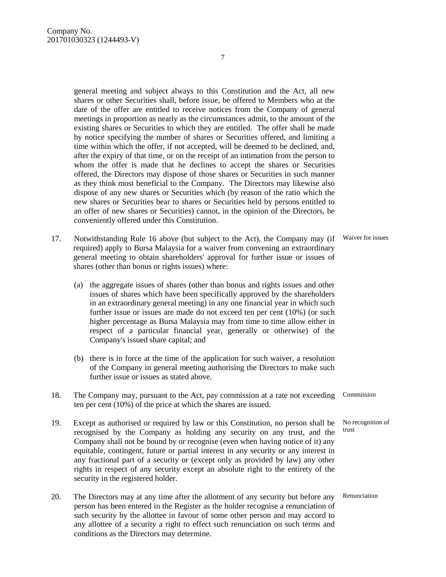general meeting and subject always to this Constitution and the Act, all new shares or other Securities shall, before issue, be offered to Members who at the date of the offer are entitled to receive notices from the Company of general meetings in proportion as nearly as the circumstances admit, to the amount of the existing shares or Securities to which they are entitled. The offer shall be made by notice specifying the number of shares or Securities offered, and limiting a time within which the offer, if not accepted, will be deemed to be declined, and, after the expiry of that time, or on the receipt of an intimation from the person to whom the offer is made that he declines to accept the shares or Securities offered, the Directors may dispose of those shares or Securities in such manner as they think most beneficial to the Company. The Directors may likewise also dispose of any new shares or Securities which (by reason of the ratio which the new shares or Securities bear to shares or Securities held by persons entitled to an offer of new shares or Securities) cannot, in the opinion of the Directors, be conveniently offered under this Constitution.

- 17. Notwithstanding Rule 16 above (but subject to the Act), the Company may (if Waiver for issues required) apply to Bursa Malaysia for a waiver from convening an extraordinary general meeting to obtain shareholders' approval for further issue or issues of shares (other than bonus or rights issues) where:
	- (a) the aggregate issues of shares (other than bonus and rights issues and other issues of shares which have been specifically approved by the shareholders in an extraordinary general meeting) in any one financial year in which such further issue or issues are made do not exceed ten per cent (10%) (or such higher percentage as Bursa Malaysia may from time to time allow either in respect of a particular financial year, generally or otherwise) of the Company's issued share capital; and
	- (b) there is in force at the time of the application for such waiver, a resolution of the Company in general meeting authorising the Directors to make such further issue or issues as stated above.
- 18. The Company may, pursuant to the Act, pay commission at a rate not exceeding ten per cent (10%) of the price at which the shares are issued. Commission
- 19. Except as authorised or required by law or this Constitution, no person shall be recognised by the Company as holding any security on any trust, and the Company shall not be bound by or recognise (even when having notice of it) any equitable, contingent, future or partial interest in any security or any interest in any fractional part of a security or (except only as provided by law) any other rights in respect of any security except an absolute right to the entirety of the security in the registered holder.
- 20. The Directors may at any time after the allotment of any security but before any person has been entered in the Register as the holder recognise a renunciation of such security by the allottee in favour of some other person and may accord to any allottee of a security a right to effect such renunciation on such terms and conditions as the Directors may determine.

7

No recognition of trust

Renunciation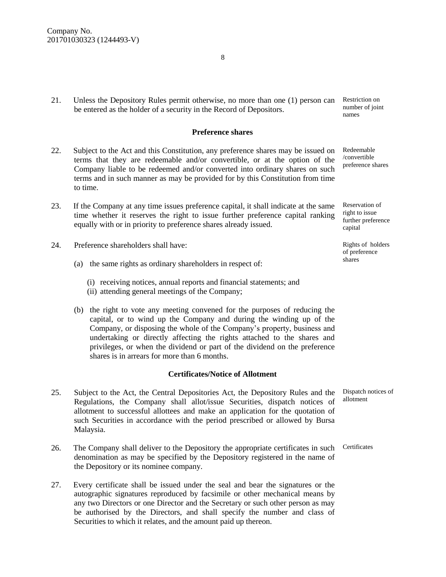21. Unless the Depository Rules permit otherwise, no more than one (1) person can be entered as the holder of a security in the Record of Depositors.

#### **Preference shares**

- 22. Subject to the Act and this Constitution, any preference shares may be issued on terms that they are redeemable and/or convertible, or at the option of the Company liable to be redeemed and/or converted into ordinary shares on such terms and in such manner as may be provided for by this Constitution from time to time.
- 23. If the Company at any time issues preference capital, it shall indicate at the same time whether it reserves the right to issue further preference capital ranking equally with or in priority to preference shares already issued.
- 24. Preference shareholders shall have:
	- (a) the same rights as ordinary shareholders in respect of:
		- (i) receiving notices, annual reports and financial statements; and
		- (ii) attending general meetings of the Company;
	- (b) the right to vote any meeting convened for the purposes of reducing the capital, or to wind up the Company and during the winding up of the Company, or disposing the whole of the Company's property, business and undertaking or directly affecting the rights attached to the shares and privileges, or when the dividend or part of the dividend on the preference shares is in arrears for more than 6 months.

#### **Certificates/Notice of Allotment**

- 25. Subject to the Act, the Central Depositories Act, the Depository Rules and the Regulations, the Company shall allot/issue Securities, dispatch notices of allotment to successful allottees and make an application for the quotation of such Securities in accordance with the period prescribed or allowed by Bursa Malaysia.
- 26. The Company shall deliver to the Depository the appropriate certificates in such denomination as may be specified by the Depository registered in the name of the Depository or its nominee company.
- 27. Every certificate shall be issued under the seal and bear the signatures or the autographic signatures reproduced by facsimile or other mechanical means by any two Directors or one Director and the Secretary or such other person as may be authorised by the Directors, and shall specify the number and class of Securities to which it relates, and the amount paid up thereon.

Restriction on number of joint names

Redeemable /convertible preference shares

Reservation of right to issue further preference capital

Rights of holders of preference shares

Dispatch notices of allotment

Certificates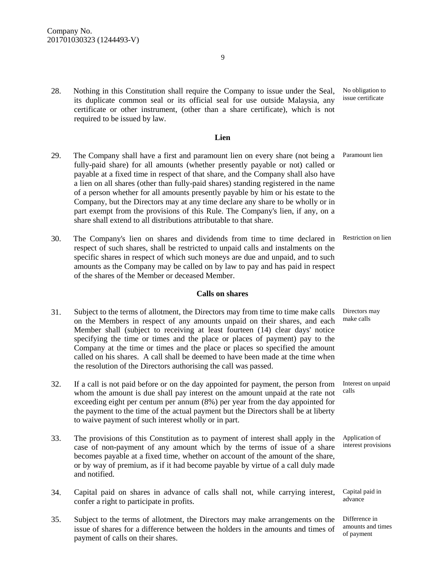28. Nothing in this Constitution shall require the Company to issue under the Seal, its duplicate common seal or its official seal for use outside Malaysia, any certificate or other instrument, (other than a share certificate), which is not required to be issued by law.

#### **Lien**

- 29. The Company shall have a first and paramount lien on every share (not being a fully-paid share) for all amounts (whether presently payable or not) called or payable at a fixed time in respect of that share, and the Company shall also have a lien on all shares (other than fully-paid shares) standing registered in the name of a person whether for all amounts presently payable by him or his estate to the Company, but the Directors may at any time declare any share to be wholly or in part exempt from the provisions of this Rule. The Company's lien, if any, on a share shall extend to all distributions attributable to that share. Paramount lien
- 30. The Company's lien on shares and dividends from time to time declared in respect of such shares, shall be restricted to unpaid calls and instalments on the specific shares in respect of which such moneys are due and unpaid, and to such amounts as the Company may be called on by law to pay and has paid in respect of the shares of the Member or deceased Member.

#### **Calls on shares**

- 31. Subject to the terms of allotment, the Directors may from time to time make calls on the Members in respect of any amounts unpaid on their shares, and each Member shall (subject to receiving at least fourteen (14) clear days' notice specifying the time or times and the place or places of payment) pay to the Company at the time or times and the place or places so specified the amount called on his shares. A call shall be deemed to have been made at the time when the resolution of the Directors authorising the call was passed.
- 32. If a call is not paid before or on the day appointed for payment, the person from whom the amount is due shall pay interest on the amount unpaid at the rate not exceeding eight per centum per annum (8%) per year from the day appointed for the payment to the time of the actual payment but the Directors shall be at liberty to waive payment of such interest wholly or in part. calls
- 33. The provisions of this Constitution as to payment of interest shall apply in the case of non-payment of any amount which by the terms of issue of a share becomes payable at a fixed time, whether on account of the amount of the share, or by way of premium, as if it had become payable by virtue of a call duly made and notified.
- 34. Capital paid on shares in advance of calls shall not, while carrying interest, confer a right to participate in profits.
- 35. Subject to the terms of allotment, the Directors may make arrangements on the issue of shares for a difference between the holders in the amounts and times of payment of calls on their shares.

No obligation to issue certificate

Restriction on lien

Directors may make calls

Interest on unpaid

Application of interest provisions

Capital paid in advance

Difference in amounts and times of payment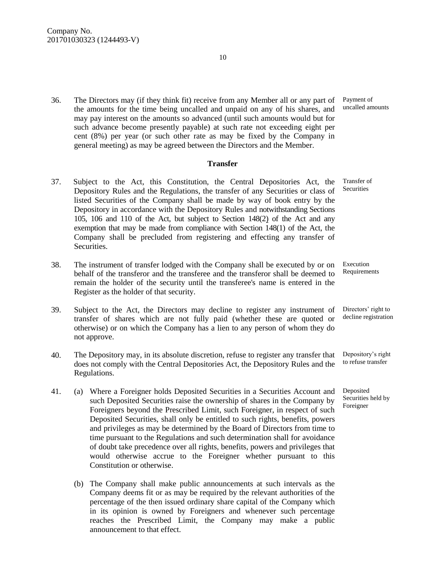36. The Directors may (if they think fit) receive from any Member all or any part of the amounts for the time being uncalled and unpaid on any of his shares, and may pay interest on the amounts so advanced (until such amounts would but for such advance become presently payable) at such rate not exceeding eight per cent (8%) per year (or such other rate as may be fixed by the Company in general meeting) as may be agreed between the Directors and the Member.

#### **Transfer**

- 37. Subject to the Act, this Constitution, the Central Depositories Act, the Depository Rules and the Regulations, the transfer of any Securities or class of listed Securities of the Company shall be made by way of book entry by the Depository in accordance with the Depository Rules and notwithstanding Sections 105, 106 and 110 of the Act, but subject to Section 148(2) of the Act and any exemption that may be made from compliance with Section 148(1) of the Act, the Company shall be precluded from registering and effecting any transfer of Securities. Transfer of Securities
- 38. The instrument of transfer lodged with the Company shall be executed by or on behalf of the transferor and the transferee and the transferor shall be deemed to remain the holder of the security until the transferee's name is entered in the Register as the holder of that security.
- 39. Subject to the Act, the Directors may decline to register any instrument of transfer of shares which are not fully paid (whether these are quoted or otherwise) or on which the Company has a lien to any person of whom they do not approve.
- 40. The Depository may, in its absolute discretion, refuse to register any transfer that does not comply with the Central Depositories Act, the Depository Rules and the Regulations.
- 41. (a) Where a Foreigner holds Deposited Securities in a Securities Account and such Deposited Securities raise the ownership of shares in the Company by Foreigners beyond the Prescribed Limit, such Foreigner, in respect of such Deposited Securities, shall only be entitled to such rights, benefits, powers and privileges as may be determined by the Board of Directors from time to time pursuant to the Regulations and such determination shall for avoidance of doubt take precedence over all rights, benefits, powers and privileges that would otherwise accrue to the Foreigner whether pursuant to this Constitution or otherwise.
	- (b) The Company shall make public announcements at such intervals as the Company deems fit or as may be required by the relevant authorities of the percentage of the then issued ordinary share capital of the Company which in its opinion is owned by Foreigners and whenever such percentage reaches the Prescribed Limit, the Company may make a public announcement to that effect.

Payment of uncalled amounts

Execution Requirements

Directors' right to decline registration

Depository's right to refuse transfer

Deposited Securities held by Foreigner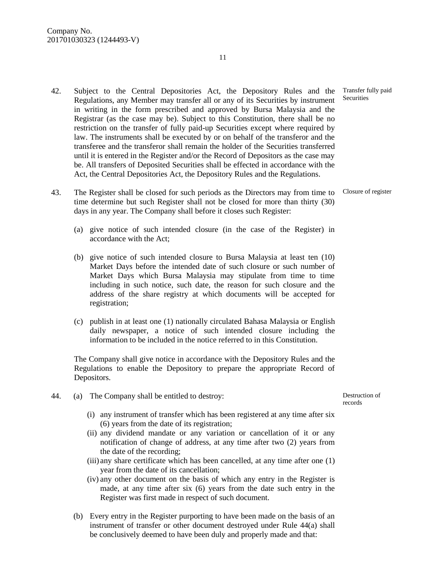- 42. Subject to the Central Depositories Act, the Depository Rules and the Regulations, any Member may transfer all or any of its Securities by instrument in writing in the form prescribed and approved by Bursa Malaysia and the Registrar (as the case may be). Subject to this Constitution, there shall be no restriction on the transfer of fully paid-up Securities except where required by law. The instruments shall be executed by or on behalf of the transferor and the transferee and the transferor shall remain the holder of the Securities transferred until it is entered in the Register and/or the Record of Depositors as the case may be. All transfers of Deposited Securities shall be effected in accordance with the Act, the Central Depositories Act, the Depository Rules and the Regulations.
- 43. The Register shall be closed for such periods as the Directors may from time to time determine but such Register shall not be closed for more than thirty (30) days in any year. The Company shall before it closes such Register: Closure of register
	- (a) give notice of such intended closure (in the case of the Register) in accordance with the Act;
	- (b) give notice of such intended closure to Bursa Malaysia at least ten (10) Market Days before the intended date of such closure or such number of Market Days which Bursa Malaysia may stipulate from time to time including in such notice, such date, the reason for such closure and the address of the share registry at which documents will be accepted for registration;
	- (c) publish in at least one (1) nationally circulated Bahasa Malaysia or English daily newspaper, a notice of such intended closure including the information to be included in the notice referred to in this Constitution.

The Company shall give notice in accordance with the Depository Rules and the Regulations to enable the Depository to prepare the appropriate Record of Depositors.

- 44. (a) The Company shall be entitled to destroy:
	- (i) any instrument of transfer which has been registered at any time after six (6) years from the date of its registration;
	- (ii) any dividend mandate or any variation or cancellation of it or any notification of change of address, at any time after two (2) years from the date of the recording;
	- (iii) any share certificate which has been cancelled, at any time after one (1) year from the date of its cancellation;
	- (iv) any other document on the basis of which any entry in the Register is made, at any time after six (6) years from the date such entry in the Register was first made in respect of such document.
	- (b) Every entry in the Register purporting to have been made on the basis of an instrument of transfer or other document destroyed under Rule 44(a) shall be conclusively deemed to have been duly and properly made and that:

Destruction of records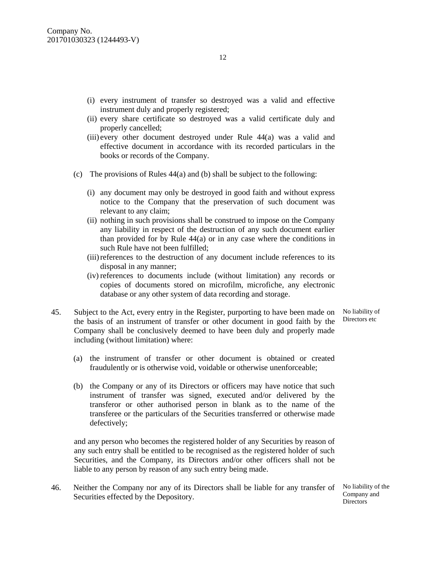- (i) every instrument of transfer so destroyed was a valid and effective instrument duly and properly registered;
- (ii) every share certificate so destroyed was a valid certificate duly and properly cancelled;
- (iii) every other document destroyed under Rule 44(a) was a valid and effective document in accordance with its recorded particulars in the books or records of the Company.
- (c) The provisions of Rules 44(a) and (b) shall be subject to the following:
	- (i) any document may only be destroyed in good faith and without express notice to the Company that the preservation of such document was relevant to any claim;
	- (ii) nothing in such provisions shall be construed to impose on the Company any liability in respect of the destruction of any such document earlier than provided for by Rule 44(a) or in any case where the conditions in such Rule have not been fulfilled;
	- (iii)references to the destruction of any document include references to its disposal in any manner;
	- (iv) references to documents include (without limitation) any records or copies of documents stored on microfilm, microfiche, any electronic database or any other system of data recording and storage.
- 45. Subject to the Act, every entry in the Register, purporting to have been made on the basis of an instrument of transfer or other document in good faith by the Company shall be conclusively deemed to have been duly and properly made including (without limitation) where:
	- (a) the instrument of transfer or other document is obtained or created fraudulently or is otherwise void, voidable or otherwise unenforceable;
	- (b) the Company or any of its Directors or officers may have notice that such instrument of transfer was signed, executed and/or delivered by the transferor or other authorised person in blank as to the name of the transferee or the particulars of the Securities transferred or otherwise made defectively;

and any person who becomes the registered holder of any Securities by reason of any such entry shall be entitled to be recognised as the registered holder of such Securities, and the Company, its Directors and/or other officers shall not be liable to any person by reason of any such entry being made.

46. Neither the Company nor any of its Directors shall be liable for any transfer of No liability of the Securities effected by the Depository.

Company and Directors

No liability of Directors etc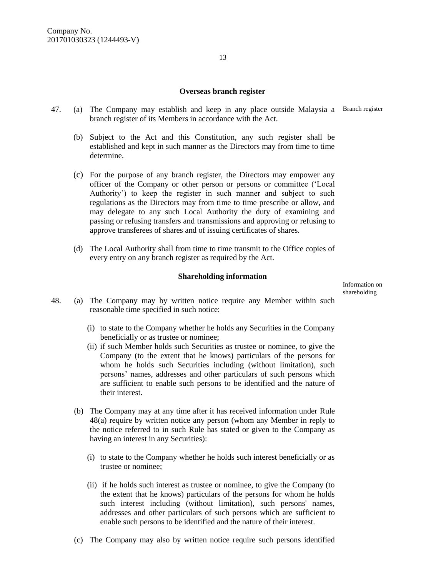#### **Overseas branch register**

- 47. (a) The Company may establish and keep in any place outside Malaysia a Branch register branch register of its Members in accordance with the Act.
	- (b) Subject to the Act and this Constitution, any such register shall be established and kept in such manner as the Directors may from time to time determine.
	- (c) For the purpose of any branch register, the Directors may empower any officer of the Company or other person or persons or committee ('Local Authority') to keep the register in such manner and subject to such regulations as the Directors may from time to time prescribe or allow, and may delegate to any such Local Authority the duty of examining and passing or refusing transfers and transmissions and approving or refusing to approve transferees of shares and of issuing certificates of shares.
	- (d) The Local Authority shall from time to time transmit to the Office copies of every entry on any branch register as required by the Act.

#### **Shareholding information**

Information on shareholding

- 48. (a) The Company may by written notice require any Member within such reasonable time specified in such notice:
	- (i) to state to the Company whether he holds any Securities in the Company beneficially or as trustee or nominee;
	- (ii) if such Member holds such Securities as trustee or nominee, to give the Company (to the extent that he knows) particulars of the persons for whom he holds such Securities including (without limitation), such persons' names, addresses and other particulars of such persons which are sufficient to enable such persons to be identified and the nature of their interest.
	- (b) The Company may at any time after it has received information under Rule 48(a) require by written notice any person (whom any Member in reply to the notice referred to in such Rule has stated or given to the Company as having an interest in any Securities):
		- (i) to state to the Company whether he holds such interest beneficially or as trustee or nominee;
		- (ii) if he holds such interest as trustee or nominee, to give the Company (to the extent that he knows) particulars of the persons for whom he holds such interest including (without limitation), such persons' names, addresses and other particulars of such persons which are sufficient to enable such persons to be identified and the nature of their interest.
	- (c) The Company may also by written notice require such persons identified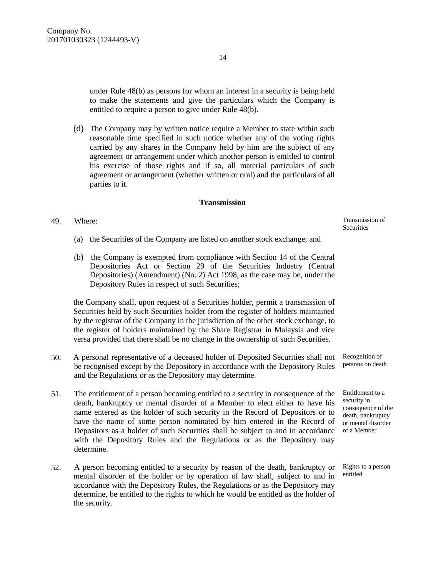under Rule 48(b) as persons for whom an interest in a security is being held to make the statements and give the particulars which the Company is entitled to require a person to give under Rule 48(b).

(d) The Company may by written notice require a Member to state within such reasonable time specified in such notice whether any of the voting rights carried by any shares in the Company held by him are the subject of any agreement or arrangement under which another person is entitled to control his exercise of those rights and if so, all material particulars of such agreement or arrangement (whether written or oral) and the particulars of all parties to it.

#### **Transmission**

#### 49. Where:

- (a) the Securities of the Company are listed on another stock exchange; and
- (b) the Company is exempted from compliance with Section 14 of the Central Depositories Act or Section 29 of the Securities Industry (Central Depositories) (Amendment) (No. 2) Act 1998, as the case may be, under the Depository Rules in respect of such Securities;

the Company shall, upon request of a Securities holder, permit a transmission of Securities held by such Securities holder from the register of holders maintained by the registrar of the Company in the jurisdiction of the other stock exchange, to the register of holders maintained by the Share Registrar in Malaysia and vice versa provided that there shall be no change in the ownership of such Securities.

- 50. A personal representative of a deceased holder of Deposited Securities shall not be recognised except by the Depository in accordance with the Depository Rules and the Regulations or as the Depository may determine.
- 51. The entitlement of a person becoming entitled to a security in consequence of the death, bankruptcy or mental disorder of a Member to elect either to have his name entered as the holder of such security in the Record of Depositors or to have the name of some person nominated by him entered in the Record of Depositors as a holder of such Securities shall be subject to and in accordance with the Depository Rules and the Regulations or as the Depository may determine.
- 52. A person becoming entitled to a security by reason of the death, bankruptcy or mental disorder of the holder or by operation of law shall, subject to and in accordance with the Depository Rules, the Regulations or as the Depository may determine, be entitled to the rights to which he would be entitled as the holder of the security.

Transmission of **Securities** 

Recognition of persons on death

Entitlement to a security in consequence of the death, bankruptcy or mental disorder of a Member

Rights to a person entitled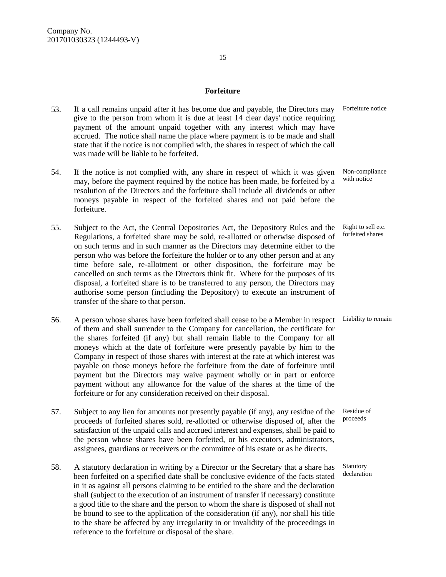# **Forfeiture**

- 53. If a call remains unpaid after it has become due and payable, the Directors may give to the person from whom it is due at least 14 clear days' notice requiring payment of the amount unpaid together with any interest which may have accrued. The notice shall name the place where payment is to be made and shall state that if the notice is not complied with, the shares in respect of which the call was made will be liable to be forfeited. Forfeiture notice
- 54. If the notice is not complied with, any share in respect of which it was given may, before the payment required by the notice has been made, be forfeited by a resolution of the Directors and the forfeiture shall include all dividends or other moneys payable in respect of the forfeited shares and not paid before the forfeiture. Non-compliance with notice
- 55. Subject to the Act, the Central Depositories Act, the Depository Rules and the Regulations, a forfeited share may be sold, re-allotted or otherwise disposed of on such terms and in such manner as the Directors may determine either to the person who was before the forfeiture the holder or to any other person and at any time before sale, re-allotment or other disposition, the forfeiture may be cancelled on such terms as the Directors think fit. Where for the purposes of its disposal, a forfeited share is to be transferred to any person, the Directors may authorise some person (including the Depository) to execute an instrument of transfer of the share to that person.
- 56. A person whose shares have been forfeited shall cease to be a Member in respect Liability to remain of them and shall surrender to the Company for cancellation, the certificate for the shares forfeited (if any) but shall remain liable to the Company for all moneys which at the date of forfeiture were presently payable by him to the Company in respect of those shares with interest at the rate at which interest was payable on those moneys before the forfeiture from the date of forfeiture until payment but the Directors may waive payment wholly or in part or enforce payment without any allowance for the value of the shares at the time of the forfeiture or for any consideration received on their disposal.
- 57. Subject to any lien for amounts not presently payable (if any), any residue of the proceeds of forfeited shares sold, re-allotted or otherwise disposed of, after the satisfaction of the unpaid calls and accrued interest and expenses, shall be paid to the person whose shares have been forfeited, or his executors, administrators, assignees, guardians or receivers or the committee of his estate or as he directs.
- 58. A statutory declaration in writing by a Director or the Secretary that a share has been forfeited on a specified date shall be conclusive evidence of the facts stated in it as against all persons claiming to be entitled to the share and the declaration shall (subject to the execution of an instrument of transfer if necessary) constitute a good title to the share and the person to whom the share is disposed of shall not be bound to see to the application of the consideration (if any), nor shall his title to the share be affected by any irregularity in or invalidity of the proceedings in reference to the forfeiture or disposal of the share.

Right to sell etc. forfeited shares

Residue of proceeds

Statutory declaration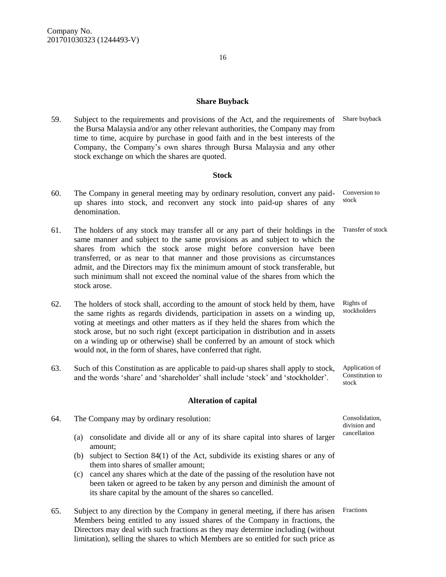59. Subject to the requirements and provisions of the Act, and the requirements of Share buyback the Bursa Malaysia and/or any other relevant authorities, the Company may from time to time, acquire by purchase in good faith and in the best interests of the Company, the Company's own shares through Bursa Malaysia and any other stock exchange on which the shares are quoted.

#### **Stock**

- 60. The Company in general meeting may by ordinary resolution, convert any paidup shares into stock, and reconvert any stock into paid-up shares of any denomination. Conversion to stock
- 61. The holders of any stock may transfer all or any part of their holdings in the same manner and subject to the same provisions as and subject to which the shares from which the stock arose might before conversion have been transferred, or as near to that manner and those provisions as circumstances admit, and the Directors may fix the minimum amount of stock transferable, but such minimum shall not exceed the nominal value of the shares from which the stock arose. Transfer of stock
- 62. The holders of stock shall, according to the amount of stock held by them, have the same rights as regards dividends, participation in assets on a winding up, voting at meetings and other matters as if they held the shares from which the stock arose, but no such right (except participation in distribution and in assets on a winding up or otherwise) shall be conferred by an amount of stock which would not, in the form of shares, have conferred that right.
- 63. Such of this Constitution as are applicable to paid-up shares shall apply to stock, and the words 'share' and 'shareholder' shall include 'stock' and 'stockholder'. Application of

#### **Alteration of capital**

(a) consolidate and divide all or any of its share capital into shares of larger amount;

64. The Company may by ordinary resolution:

- (b) subject to Section 84(1) of the Act, subdivide its existing shares or any of them into shares of smaller amount;
- (c) cancel any shares which at the date of the passing of the resolution have not been taken or agreed to be taken by any person and diminish the amount of its share capital by the amount of the shares so cancelled.
- 65. Subject to any direction by the Company in general meeting, if there has arisen FractionsMembers being entitled to any issued shares of the Company in fractions, the Directors may deal with such fractions as they may determine including (without limitation), selling the shares to which Members are so entitled for such price as

Rights of stockholders

Constitution to stock

Consolidation, division and cancellation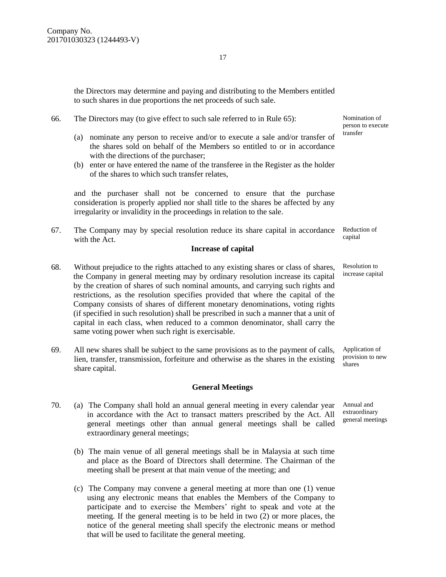the Directors may determine and paying and distributing to the Members entitled to such shares in due proportions the net proceeds of such sale.

#### 66. The Directors may (to give effect to such sale referred to in Rule 65):

- (a) nominate any person to receive and/or to execute a sale and/or transfer of the shares sold on behalf of the Members so entitled to or in accordance with the directions of the purchaser;
- (b) enter or have entered the name of the transferee in the Register as the holder of the shares to which such transfer relates,

and the purchaser shall not be concerned to ensure that the purchase consideration is properly applied nor shall title to the shares be affected by any irregularity or invalidity in the proceedings in relation to the sale.

67. The Company may by special resolution reduce its share capital in accordance with the Act. Reduction of capital

#### **Increase of capital**

- 68. Without prejudice to the rights attached to any existing shares or class of shares, the Company in general meeting may by ordinary resolution increase its capital by the creation of shares of such nominal amounts, and carrying such rights and restrictions, as the resolution specifies provided that where the capital of the Company consists of shares of different monetary denominations, voting rights (if specified in such resolution) shall be prescribed in such a manner that a unit of capital in each class, when reduced to a common denominator, shall carry the same voting power when such right is exercisable.
- 69. All new shares shall be subject to the same provisions as to the payment of calls, lien, transfer, transmission, forfeiture and otherwise as the shares in the existing share capital.

#### **General Meetings**

- 70. (a) The Company shall hold an annual general meeting in every calendar year in accordance with the Act to transact matters prescribed by the Act. All general meetings other than annual general meetings shall be called extraordinary general meetings;
	- (b) The main venue of all general meetings shall be in Malaysia at such time and place as the Board of Directors shall determine. The Chairman of the meeting shall be present at that main venue of the meeting; and
	- (c) The Company may convene a general meeting at more than one (1) venue using any electronic means that enables the Members of the Company to participate and to exercise the Members' right to speak and vote at the meeting. If the general meeting is to be held in two (2) or more places, the notice of the general meeting shall specify the electronic means or method that will be used to facilitate the general meeting.

Nomination of person to execute transfer

Resolution to increase capital

Application of provision to new shares

Annual and extraordinary general meetings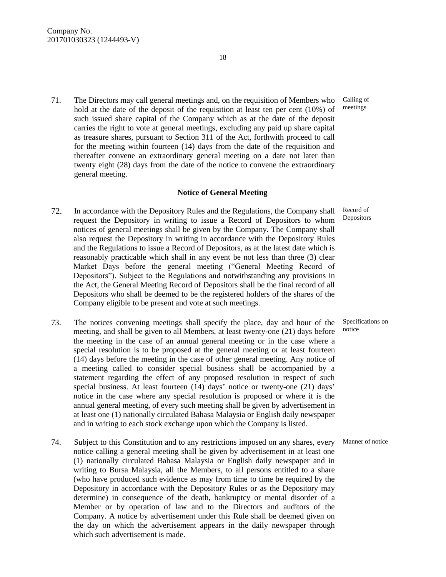71. The Directors may call general meetings and, on the requisition of Members who hold at the date of the deposit of the requisition at least ten per cent (10%) of such issued share capital of the Company which as at the date of the deposit carries the right to vote at general meetings, excluding any paid up share capital as treasure shares, pursuant to Section 311 of the Act, forthwith proceed to call for the meeting within fourteen (14) days from the date of the requisition and thereafter convene an extraordinary general meeting on a date not later than twenty eight (28) days from the date of the notice to convene the extraordinary general meeting.

#### **Notice of General Meeting**

- 72. In accordance with the Depository Rules and the Regulations, the Company shall request the Depository in writing to issue a Record of Depositors to whom notices of general meetings shall be given by the Company. The Company shall also request the Depository in writing in accordance with the Depository Rules and the Regulations to issue a Record of Depositors, as at the latest date which is reasonably practicable which shall in any event be not less than three (3) clear Market Days before the general meeting ("General Meeting Record of Depositors"). Subject to the Regulations and notwithstanding any provisions in the Act, the General Meeting Record of Depositors shall be the final record of all Depositors who shall be deemed to be the registered holders of the shares of the Company eligible to be present and vote at such meetings.
- 73. The notices convening meetings shall specify the place, day and hour of the meeting, and shall be given to all Members, at least twenty-one (21) days before the meeting in the case of an annual general meeting or in the case where a special resolution is to be proposed at the general meeting or at least fourteen (14) days before the meeting in the case of other general meeting. Any notice of a meeting called to consider special business shall be accompanied by a statement regarding the effect of any proposed resolution in respect of such special business. At least fourteen (14) days' notice or twenty-one (21) days' notice in the case where any special resolution is proposed or where it is the annual general meeting, of every such meeting shall be given by advertisement in at least one (1) nationally circulated Bahasa Malaysia or English daily newspaper and in writing to each stock exchange upon which the Company is listed.
- 74. Subject to this Constitution and to any restrictions imposed on any shares, every Manner of noticenotice calling a general meeting shall be given by advertisement in at least one (1) nationally circulated Bahasa Malaysia or English daily newspaper and in writing to Bursa Malaysia, all the Members, to all persons entitled to a share (who have produced such evidence as may from time to time be required by the Depository in accordance with the Depository Rules or as the Depository may determine) in consequence of the death, bankruptcy or mental disorder of a Member or by operation of law and to the Directors and auditors of the Company. A notice by advertisement under this Rule shall be deemed given on the day on which the advertisement appears in the daily newspaper through which such advertisement is made.

Record of

Depositors

Specifications on notice

18

Calling of meetings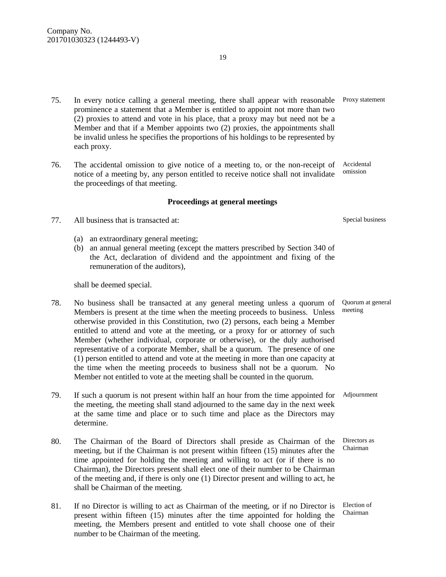- 75. In every notice calling a general meeting, there shall appear with reasonable prominence a statement that a Member is entitled to appoint not more than two (2) proxies to attend and vote in his place, that a proxy may but need not be a Member and that if a Member appoints two (2) proxies, the appointments shall be invalid unless he specifies the proportions of his holdings to be represented by each proxy.
- 76. The accidental omission to give notice of a meeting to, or the non-receipt of notice of a meeting by, any person entitled to receive notice shall not invalidate the proceedings of that meeting.

#### **Proceedings at general meetings**

- 77. All business that is transacted at:
	- (a) an extraordinary general meeting;
	- (b) an annual general meeting (except the matters prescribed by Section 340 of the Act, declaration of dividend and the appointment and fixing of the remuneration of the auditors),

shall be deemed special.

- 78. No business shall be transacted at any general meeting unless a quorum of Members is present at the time when the meeting proceeds to business. Unless otherwise provided in this Constitution, two (2) persons, each being a Member entitled to attend and vote at the meeting, or a proxy for or attorney of such Member (whether individual, corporate or otherwise), or the duly authorised representative of a corporate Member, shall be a quorum. The presence of one (1) person entitled to attend and vote at the meeting in more than one capacity at the time when the meeting proceeds to business shall not be a quorum. No Member not entitled to vote at the meeting shall be counted in the quorum.
- 79. If such a quorum is not present within half an hour from the time appointed for Adjournment the meeting, the meeting shall stand adjourned to the same day in the next week at the same time and place or to such time and place as the Directors may determine.
- 80. The Chairman of the Board of Directors shall preside as Chairman of the meeting, but if the Chairman is not present within fifteen (15) minutes after the time appointed for holding the meeting and willing to act (or if there is no Chairman), the Directors present shall elect one of their number to be Chairman of the meeting and, if there is only one (1) Director present and willing to act, he shall be Chairman of the meeting.
- 81. If no Director is willing to act as Chairman of the meeting, or if no Director is present within fifteen (15) minutes after the time appointed for holding the meeting, the Members present and entitled to vote shall choose one of their number to be Chairman of the meeting.

Accidental omission

Special business

Quorum at general meeting

Directors as Chairman

Election of Chairman

Proxy statement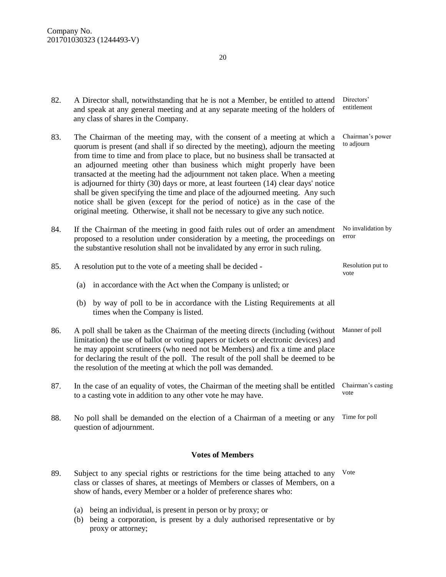| 82. | A Director shall, notwithstanding that he is not a Member, be entitled to attend<br>and speak at any general meeting and at any separate meeting of the holders of<br>any class of shares in the Company.                                                                                                                                                                                                                                                                                                                                                                                                                                                                                                                                                     | Directors'<br>entitlement      |  |
|-----|---------------------------------------------------------------------------------------------------------------------------------------------------------------------------------------------------------------------------------------------------------------------------------------------------------------------------------------------------------------------------------------------------------------------------------------------------------------------------------------------------------------------------------------------------------------------------------------------------------------------------------------------------------------------------------------------------------------------------------------------------------------|--------------------------------|--|
| 83. | The Chairman of the meeting may, with the consent of a meeting at which a<br>quorum is present (and shall if so directed by the meeting), adjourn the meeting<br>from time to time and from place to place, but no business shall be transacted at<br>an adjourned meeting other than business which might properly have been<br>transacted at the meeting had the adjournment not taken place. When a meeting<br>is adjourned for thirty (30) days or more, at least fourteen (14) clear days' notice<br>shall be given specifying the time and place of the adjourned meeting. Any such<br>notice shall be given (except for the period of notice) as in the case of the<br>original meeting. Otherwise, it shall not be necessary to give any such notice. | Chairman's power<br>to adjourn |  |
| 84. | If the Chairman of the meeting in good faith rules out of order an amendment<br>No invalidation by<br>error<br>proposed to a resolution under consideration by a meeting, the proceedings on<br>the substantive resolution shall not be invalidated by any error in such ruling.                                                                                                                                                                                                                                                                                                                                                                                                                                                                              |                                |  |
| 85. | A resolution put to the vote of a meeting shall be decided -                                                                                                                                                                                                                                                                                                                                                                                                                                                                                                                                                                                                                                                                                                  | Resolution put to<br>vote      |  |
|     | in accordance with the Act when the Company is unlisted; or<br>(a)                                                                                                                                                                                                                                                                                                                                                                                                                                                                                                                                                                                                                                                                                            |                                |  |
|     | (b) by way of poll to be in accordance with the Listing Requirements at all<br>times when the Company is listed.                                                                                                                                                                                                                                                                                                                                                                                                                                                                                                                                                                                                                                              |                                |  |
| 86. | A poll shall be taken as the Chairman of the meeting directs (including (without<br>limitation) the use of ballot or voting papers or tickets or electronic devices) and<br>he may appoint scrutineers (who need not be Members) and fix a time and place<br>for declaring the result of the poll. The result of the poll shall be deemed to be<br>the resolution of the meeting at which the poll was demanded.                                                                                                                                                                                                                                                                                                                                              | Manner of poll                 |  |
| 87. | In the case of an equality of votes, the Chairman of the meeting shall be entitled<br>to a casting vote in addition to any other vote he may have.                                                                                                                                                                                                                                                                                                                                                                                                                                                                                                                                                                                                            | Chairman's casting<br>vote     |  |
| 88. | No poll shall be demanded on the election of a Chairman of a meeting or any                                                                                                                                                                                                                                                                                                                                                                                                                                                                                                                                                                                                                                                                                   | Time for poll                  |  |

#### **Votes of Members**

- 89. Subject to any special rights or restrictions for the time being attached to any Voteclass or classes of shares, at meetings of Members or classes of Members, on a show of hands, every Member or a holder of preference shares who:
	- (a) being an individual, is present in person or by proxy; or

question of adjournment.

(b) being a corporation, is present by a duly authorised representative or by proxy or attorney;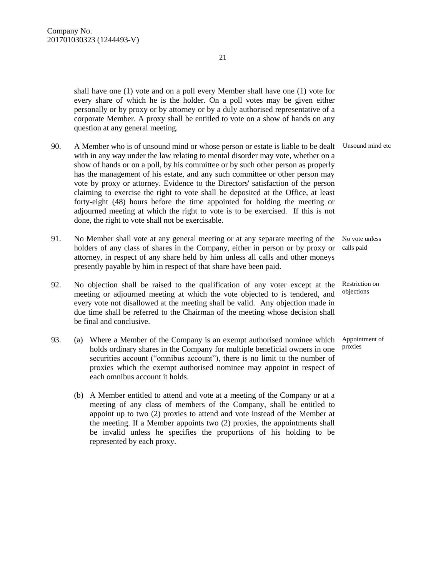shall have one (1) vote and on a poll every Member shall have one (1) vote for every share of which he is the holder. On a poll votes may be given either personally or by proxy or by attorney or by a duly authorised representative of a corporate Member. A proxy shall be entitled to vote on a show of hands on any question at any general meeting.

- 90. A Member who is of unsound mind or whose person or estate is liable to be dealt with in any way under the law relating to mental disorder may vote, whether on a show of hands or on a poll, by his committee or by such other person as properly has the management of his estate, and any such committee or other person may vote by proxy or attorney. Evidence to the Directors' satisfaction of the person claiming to exercise the right to vote shall be deposited at the Office, at least forty-eight (48) hours before the time appointed for holding the meeting or adjourned meeting at which the right to vote is to be exercised. If this is not done, the right to vote shall not be exercisable.
- 91. No Member shall vote at any general meeting or at any separate meeting of the No vote unless holders of any class of shares in the Company, either in person or by proxy or attorney, in respect of any share held by him unless all calls and other moneys presently payable by him in respect of that share have been paid.
- 92. No objection shall be raised to the qualification of any voter except at the meeting or adjourned meeting at which the vote objected to is tendered, and every vote not disallowed at the meeting shall be valid. Any objection made in due time shall be referred to the Chairman of the meeting whose decision shall be final and conclusive.
- 93. (a) Where a Member of the Company is an exempt authorised nominee which Appointment of holds ordinary shares in the Company for multiple beneficial owners in one securities account ("omnibus account"), there is no limit to the number of proxies which the exempt authorised nominee may appoint in respect of each omnibus account it holds.
	- (b) A Member entitled to attend and vote at a meeting of the Company or at a meeting of any class of members of the Company, shall be entitled to appoint up to two (2) proxies to attend and vote instead of the Member at the meeting. If a Member appoints two (2) proxies, the appointments shall be invalid unless he specifies the proportions of his holding to be represented by each proxy.

Unsound mind etc

calls paid

Restriction on objections

proxies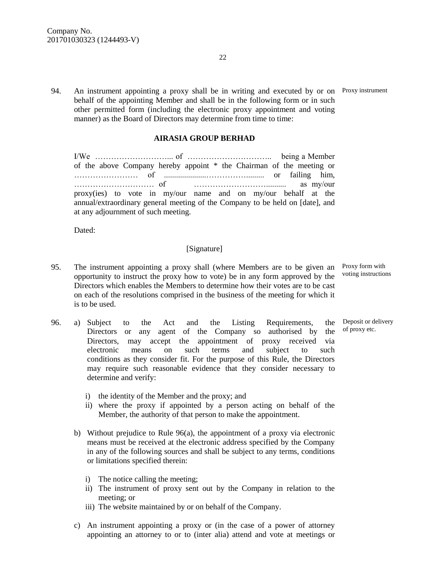94. An instrument appointing a proxy shall be in writing and executed by or on Proxy instrument behalf of the appointing Member and shall be in the following form or in such other permitted form (including the electronic proxy appointment and voting manner) as the Board of Directors may determine from time to time:

#### **AIRASIA GROUP BERHAD**

I/We ………………………... of ………………………….. being a Member of the above Company hereby appoint \* the Chairman of the meeting or …………………… of .....................……………......... or failing him, ………………………… of ……………………….......... as my/our proxy(ies) to vote in my/our name and on my/our behalf at the annual/extraordinary general meeting of the Company to be held on [date], and at any adjournment of such meeting.

Dated:

### [Signature]

- 95. The instrument appointing a proxy shall (where Members are to be given an opportunity to instruct the proxy how to vote) be in any form approved by the Directors which enables the Members to determine how their votes are to be cast on each of the resolutions comprised in the business of the meeting for which it is to be used.
- 96. a) Subject to the Act and the Listing Requirements, the Directors or any agent of the Company so authorised by the Directors, may accept the appointment of proxy received via electronic means on such terms and subject to such conditions as they consider fit. For the purpose of this Rule, the Directors may require such reasonable evidence that they consider necessary to determine and verify:
	- i) the identity of the Member and the proxy; and
	- ii) where the proxy if appointed by a person acting on behalf of the Member, the authority of that person to make the appointment.
	- b) Without prejudice to Rule 96(a), the appointment of a proxy via electronic means must be received at the electronic address specified by the Company in any of the following sources and shall be subject to any terms, conditions or limitations specified therein:
		- i) The notice calling the meeting;
		- ii) The instrument of proxy sent out by the Company in relation to the meeting; or
		- iii) The website maintained by or on behalf of the Company.
	- c) An instrument appointing a proxy or (in the case of a power of attorney appointing an attorney to or to (inter alia) attend and vote at meetings or

Deposit or delivery of proxy etc.

Proxy form with voting instructions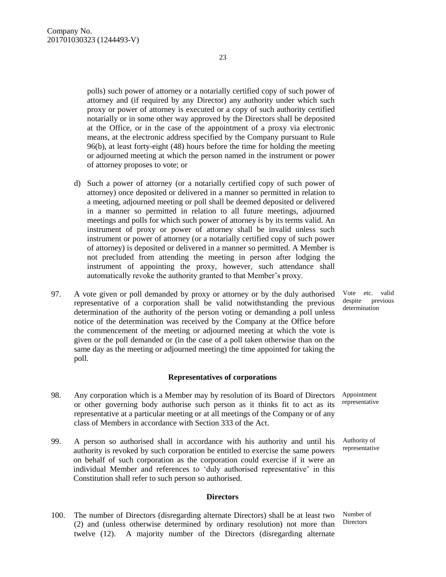polls) such power of attorney or a notarially certified copy of such power of attorney and (if required by any Director) any authority under which such proxy or power of attorney is executed or a copy of such authority certified notarially or in some other way approved by the Directors shall be deposited at the Office, or in the case of the appointment of a proxy via electronic means, at the electronic address specified by the Company pursuant to Rule 96(b), at least forty-eight (48) hours before the time for holding the meeting or adjourned meeting at which the person named in the instrument or power of attorney proposes to vote; or

23

- d) Such a power of attorney (or a notarially certified copy of such power of attorney) once deposited or delivered in a manner so permitted in relation to a meeting, adjourned meeting or poll shall be deemed deposited or delivered in a manner so permitted in relation to all future meetings, adjourned meetings and polls for which such power of attorney is by its terms valid. An instrument of proxy or power of attorney shall be invalid unless such instrument or power of attorney (or a notarially certified copy of such power of attorney) is deposited or delivered in a manner so permitted. A Member is not precluded from attending the meeting in person after lodging the instrument of appointing the proxy, however, such attendance shall automatically revoke the authority granted to that Member's proxy.
- 97. A vote given or poll demanded by proxy or attorney or by the duly authorised representative of a corporation shall be valid notwithstanding the previous determination of the authority of the person voting or demanding a poll unless notice of the determination was received by the Company at the Office before the commencement of the meeting or adjourned meeting at which the vote is given or the poll demanded or (in the case of a poll taken otherwise than on the same day as the meeting or adjourned meeting) the time appointed for taking the poll.

#### **Representatives of corporations**

- 98. Any corporation which is a Member may by resolution of its Board of Directors or other governing body authorise such person as it thinks fit to act as its representative at a particular meeting or at all meetings of the Company or of any class of Members in accordance with Section 333 of the Act. Appointment
- 99. A person so authorised shall in accordance with his authority and until his authority is revoked by such corporation be entitled to exercise the same powers on behalf of such corporation as the corporation could exercise if it were an individual Member and references to 'duly authorised representative' in this Constitution shall refer to such person so authorised.

#### **Directors**

100. The number of Directors (disregarding alternate Directors) shall be at least two (2) and (unless otherwise determined by ordinary resolution) not more than twelve (12). A majority number of the Directors (disregarding alternate

Vote etc. valid despite previous determination

representative

Authority of representative

Number of **Directors**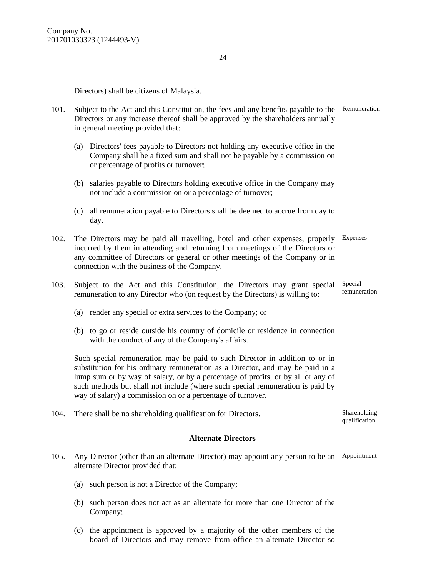Directors) shall be citizens of Malaysia.

- 101. Subject to the Act and this Constitution, the fees and any benefits payable to the Remuneration Directors or any increase thereof shall be approved by the shareholders annually in general meeting provided that:
	- (a) Directors' fees payable to Directors not holding any executive office in the Company shall be a fixed sum and shall not be payable by a commission on or percentage of profits or turnover;
	- (b) salaries payable to Directors holding executive office in the Company may not include a commission on or a percentage of turnover;
	- (c) all remuneration payable to Directors shall be deemed to accrue from day to day.
- 102. The Directors may be paid all travelling, hotel and other expenses, properly Expenses incurred by them in attending and returning from meetings of the Directors or any committee of Directors or general or other meetings of the Company or in connection with the business of the Company.
- 103. Subject to the Act and this Constitution, the Directors may grant special Special remuneration to any Director who (on request by the Directors) is willing to: remuneration
	- (a) render any special or extra services to the Company; or
	- (b) to go or reside outside his country of domicile or residence in connection with the conduct of any of the Company's affairs.

Such special remuneration may be paid to such Director in addition to or in substitution for his ordinary remuneration as a Director, and may be paid in a lump sum or by way of salary, or by a percentage of profits, or by all or any of such methods but shall not include (where such special remuneration is paid by way of salary) a commission on or a percentage of turnover.

104. There shall be no shareholding qualification for Directors. Shareholding

#### **Alternate Directors**

- 105. Any Director (other than an alternate Director) may appoint any person to be an Appointment alternate Director provided that:
	- (a) such person is not a Director of the Company;
	- (b) such person does not act as an alternate for more than one Director of the Company;
	- (c) the appointment is approved by a majority of the other members of the board of Directors and may remove from office an alternate Director so

qualification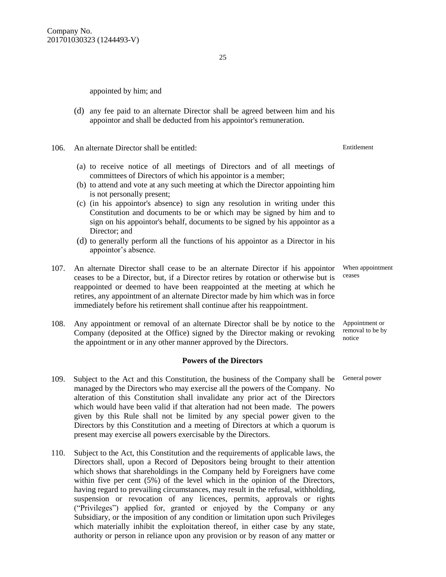appointed by him; and

(d) any fee paid to an alternate Director shall be agreed between him and his appointor and shall be deducted from his appointor's remuneration.

106. An alternate Director shall be entitled:

- (a) to receive notice of all meetings of Directors and of all meetings of committees of Directors of which his appointor is a member;
- (b) to attend and vote at any such meeting at which the Director appointing him is not personally present;
- (c) (in his appointor's absence) to sign any resolution in writing under this Constitution and documents to be or which may be signed by him and to sign on his appointor's behalf, documents to be signed by his appointor as a Director: and
- (d) to generally perform all the functions of his appointor as a Director in his appointor's absence.
- 107. An alternate Director shall cease to be an alternate Director if his appointor ceases to be a Director, but, if a Director retires by rotation or otherwise but is reappointed or deemed to have been reappointed at the meeting at which he retires, any appointment of an alternate Director made by him which was in force immediately before his retirement shall continue after his reappointment.
- 108. Any appointment or removal of an alternate Director shall be by notice to the Company (deposited at the Office) signed by the Director making or revoking the appointment or in any other manner approved by the Directors.

#### **Powers of the Directors**

- 109. Subject to the Act and this Constitution, the business of the Company shall be managed by the Directors who may exercise all the powers of the Company. No alteration of this Constitution shall invalidate any prior act of the Directors which would have been valid if that alteration had not been made. The powers given by this Rule shall not be limited by any special power given to the Directors by this Constitution and a meeting of Directors at which a quorum is present may exercise all powers exercisable by the Directors.
- 110. Subject to the Act, this Constitution and the requirements of applicable laws, the Directors shall, upon a Record of Depositors being brought to their attention which shows that shareholdings in the Company held by Foreigners have come within five per cent (5%) of the level which in the opinion of the Directors, having regard to prevailing circumstances, may result in the refusal, withholding, suspension or revocation of any licences, permits, approvals or rights ("Privileges") applied for, granted or enjoyed by the Company or any Subsidiary, or the imposition of any condition or limitation upon such Privileges which materially inhibit the exploitation thereof, in either case by any state, authority or person in reliance upon any provision or by reason of any matter or

When appointment

ceases

Appointment or removal to be by notice

General power

Entitlement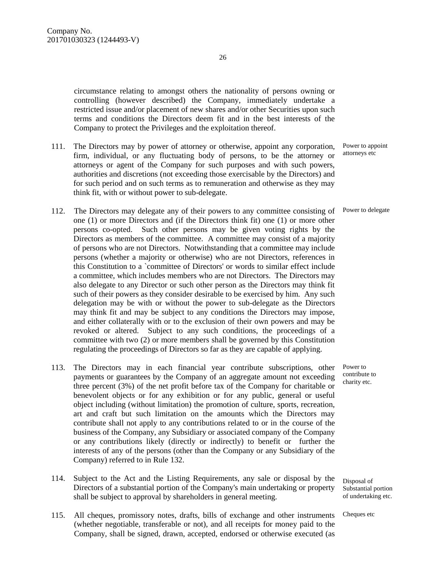circumstance relating to amongst others the nationality of persons owning or controlling (however described) the Company, immediately undertake a restricted issue and/or placement of new shares and/or other Securities upon such terms and conditions the Directors deem fit and in the best interests of the Company to protect the Privileges and the exploitation thereof.

- 111. The Directors may by power of attorney or otherwise, appoint any corporation, firm, individual, or any fluctuating body of persons, to be the attorney or attorneys or agent of the Company for such purposes and with such powers, authorities and discretions (not exceeding those exercisable by the Directors) and for such period and on such terms as to remuneration and otherwise as they may think fit, with or without power to sub-delegate.
- 112. The Directors may delegate any of their powers to any committee consisting of Power to delegate one (1) or more Directors and (if the Directors think fit) one (1) or more other persons co-opted. Such other persons may be given voting rights by the Directors as members of the committee. A committee may consist of a majority of persons who are not Directors. Notwithstanding that a committee may include persons (whether a majority or otherwise) who are not Directors, references in this Constitution to a `committee of Directors' or words to similar effect include a committee, which includes members who are not Directors. The Directors may also delegate to any Director or such other person as the Directors may think fit such of their powers as they consider desirable to be exercised by him. Any such delegation may be with or without the power to sub-delegate as the Directors may think fit and may be subject to any conditions the Directors may impose, and either collaterally with or to the exclusion of their own powers and may be revoked or altered. Subject to any such conditions, the proceedings of a committee with two (2) or more members shall be governed by this Constitution regulating the proceedings of Directors so far as they are capable of applying.
- 113. The Directors may in each financial year contribute subscriptions, other payments or guarantees by the Company of an aggregate amount not exceeding three percent (3%) of the net profit before tax of the Company for charitable or benevolent objects or for any exhibition or for any public, general or useful object including (without limitation) the promotion of culture, sports, recreation, art and craft but such limitation on the amounts which the Directors may contribute shall not apply to any contributions related to or in the course of the business of the Company, any Subsidiary or associated company of the Company or any contributions likely (directly or indirectly) to benefit or further the interests of any of the persons (other than the Company or any Subsidiary of the Company) referred to in Rule 132.
- 114. Subject to the Act and the Listing Requirements, any sale or disposal by the Directors of a substantial portion of the Company's main undertaking or property shall be subject to approval by shareholders in general meeting.
- 115. All cheques, promissory notes, drafts, bills of exchange and other instruments (whether negotiable, transferable or not), and all receipts for money paid to the Company, shall be signed, drawn, accepted, endorsed or otherwise executed (as

Power to appoint attorneys etc

Power to contribute to charity etc.

Disposal of Substantial portion of undertaking etc.

Cheques etc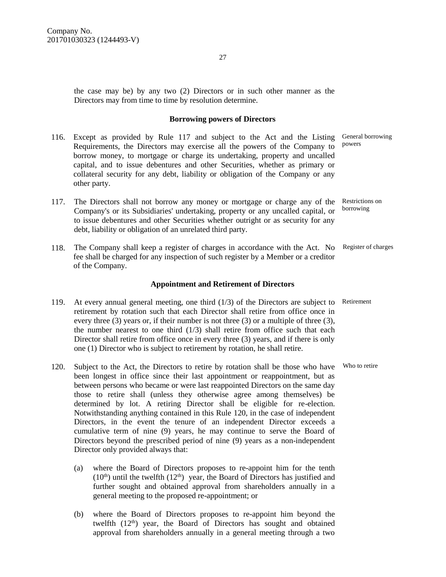the case may be) by any two (2) Directors or in such other manner as the Directors may from time to time by resolution determine.

#### **Borrowing powers of Directors**

- 116. Except as provided by Rule 117 and subject to the Act and the Listing General borrowing Requirements, the Directors may exercise all the powers of the Company to borrow money, to mortgage or charge its undertaking, property and uncalled capital, and to issue debentures and other Securities, whether as primary or collateral security for any debt, liability or obligation of the Company or any other party. powers
- 117. The Directors shall not borrow any money or mortgage or charge any of the Restrictions on Company's or its Subsidiaries' undertaking, property or any uncalled capital, or to issue debentures and other Securities whether outright or as security for any debt, liability or obligation of an unrelated third party. borrowing
- 118. The Company shall keep a register of charges in accordance with the Act. No Register of charges fee shall be charged for any inspection of such register by a Member or a creditor of the Company.

#### **Appointment and Retirement of Directors**

- 119. At every annual general meeting, one third (1/3) of the Directors are subject to Retirement retirement by rotation such that each Director shall retire from office once in every three (3) years or, if their number is not three (3) or a multiple of three (3), the number nearest to one third  $(1/3)$  shall retire from office such that each Director shall retire from office once in every three (3) years, and if there is only one (1) Director who is subject to retirement by rotation, he shall retire.
- 120. Subject to the Act, the Directors to retire by rotation shall be those who have Who to retire been longest in office since their last appointment or reappointment, but as between persons who became or were last reappointed Directors on the same day those to retire shall (unless they otherwise agree among themselves) be determined by lot. A retiring Director shall be eligible for re-election. Notwithstanding anything contained in this Rule 120, in the case of independent Directors, in the event the tenure of an independent Director exceeds a cumulative term of nine (9) years, he may continue to serve the Board of Directors beyond the prescribed period of nine (9) years as a non-independent Director only provided always that:
	- (a) where the Board of Directors proposes to re-appoint him for the tenth  $(10<sup>th</sup>)$  until the twelfth  $(12<sup>th</sup>)$  year, the Board of Directors has justified and further sought and obtained approval from shareholders annually in a general meeting to the proposed re-appointment; or
	- (b) where the Board of Directors proposes to re-appoint him beyond the twelfth  $(12<sup>th</sup>)$  year, the Board of Directors has sought and obtained approval from shareholders annually in a general meeting through a two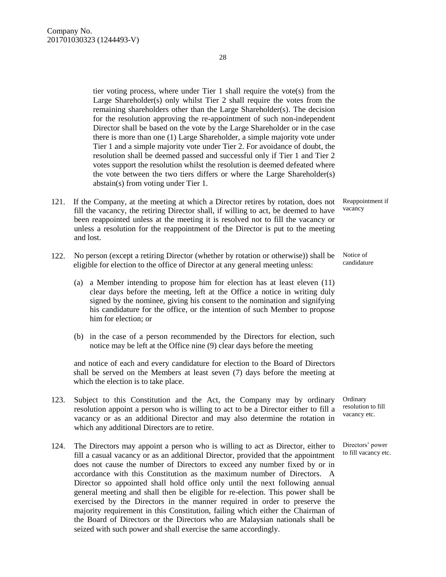tier voting process, where under Tier 1 shall require the vote(s) from the Large Shareholder(s) only whilst Tier 2 shall require the votes from the remaining shareholders other than the Large Shareholder(s). The decision for the resolution approving the re-appointment of such non-independent Director shall be based on the vote by the Large Shareholder or in the case there is more than one (1) Large Shareholder, a simple majority vote under Tier 1 and a simple majority vote under Tier 2. For avoidance of doubt, the resolution shall be deemed passed and successful only if Tier 1 and Tier 2

votes support the resolution whilst the resolution is deemed defeated where the vote between the two tiers differs or where the Large Shareholder(s) abstain(s) from voting under Tier 1. 121. If the Company, at the meeting at which a Director retires by rotation, does not Reappointment if

- fill the vacancy, the retiring Director shall, if willing to act, be deemed to have been reappointed unless at the meeting it is resolved not to fill the vacancy or unless a resolution for the reappointment of the Director is put to the meeting and lost.
- 122. No person (except a retiring Director (whether by rotation or otherwise)) shall be eligible for election to the office of Director at any general meeting unless:
	- (a) a Member intending to propose him for election has at least eleven (11) clear days before the meeting, left at the Office a notice in writing duly signed by the nominee, giving his consent to the nomination and signifying his candidature for the office, or the intention of such Member to propose him for election; or
	- (b) in the case of a person recommended by the Directors for election, such notice may be left at the Office nine (9) clear days before the meeting

and notice of each and every candidature for election to the Board of Directors shall be served on the Members at least seven (7) days before the meeting at which the election is to take place.

- 123. Subject to this Constitution and the Act, the Company may by ordinary resolution appoint a person who is willing to act to be a Director either to fill a vacancy or as an additional Director and may also determine the rotation in which any additional Directors are to retire.
- 124. The Directors may appoint a person who is willing to act as Director, either to fill a casual vacancy or as an additional Director, provided that the appointment does not cause the number of Directors to exceed any number fixed by or in accordance with this Constitution as the maximum number of Directors. A Director so appointed shall hold office only until the next following annual general meeting and shall then be eligible for re-election. This power shall be exercised by the Directors in the manner required in order to preserve the majority requirement in this Constitution, failing which either the Chairman of the Board of Directors or the Directors who are Malaysian nationals shall be seized with such power and shall exercise the same accordingly.

vacancy

Notice of candidature

**Ordinary** resolution to fill vacancy etc.

Directors' power to fill vacancy etc.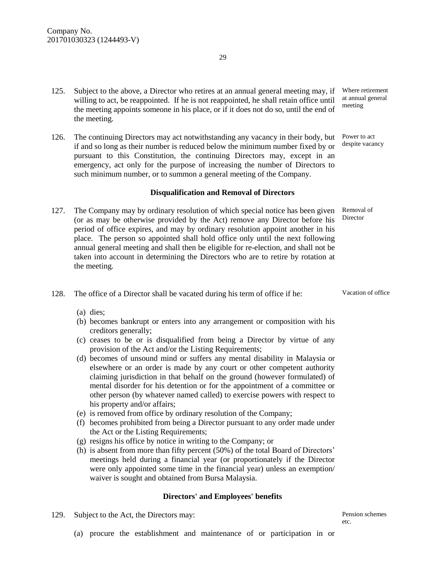- 125. Subject to the above, a Director who retires at an annual general meeting may, if willing to act, be reappointed. If he is not reappointed, he shall retain office until the meeting appoints someone in his place, or if it does not do so, until the end of the meeting.
- 126. The continuing Directors may act notwithstanding any vacancy in their body, but if and so long as their number is reduced below the minimum number fixed by or pursuant to this Constitution, the continuing Directors may, except in an emergency, act only for the purpose of increasing the number of Directors to such minimum number, or to summon a general meeting of the Company.

#### **Disqualification and Removal of Directors**

- 127. The Company may by ordinary resolution of which special notice has been given Removal of (or as may be otherwise provided by the Act) remove any Director before his period of office expires, and may by ordinary resolution appoint another in his place. The person so appointed shall hold office only until the next following annual general meeting and shall then be eligible for re-election, and shall not be taken into account in determining the Directors who are to retire by rotation at the meeting.
- 128. The office of a Director shall be vacated during his term of office if he:

(a) dies;

- (b) becomes bankrupt or enters into any arrangement or composition with his creditors generally;
- (c) ceases to be or is disqualified from being a Director by virtue of any provision of the Act and/or the Listing Requirements;
- (d) becomes of unsound mind or suffers any mental disability in Malaysia or elsewhere or an order is made by any court or other competent authority claiming jurisdiction in that behalf on the ground (however formulated) of mental disorder for his detention or for the appointment of a committee or other person (by whatever named called) to exercise powers with respect to his property and/or affairs;
- (e) is removed from office by ordinary resolution of the Company;
- (f) becomes prohibited from being a Director pursuant to any order made under the Act or the Listing Requirements;
- (g) resigns his office by notice in writing to the Company; or
- (h) is absent from more than fifty percent (50%) of the total Board of Directors' meetings held during a financial year (or proportionately if the Director were only appointed some time in the financial year) unless an exemption/ waiver is sought and obtained from Bursa Malaysia.

#### **Directors' and Employees' benefits**

129. Subject to the Act, the Directors may:

Pension schemes etc.

(a) procure the establishment and maintenance of or participation in or

Where retirement at annual general meeting

Power to act despite vacancy

Director

Vacation of office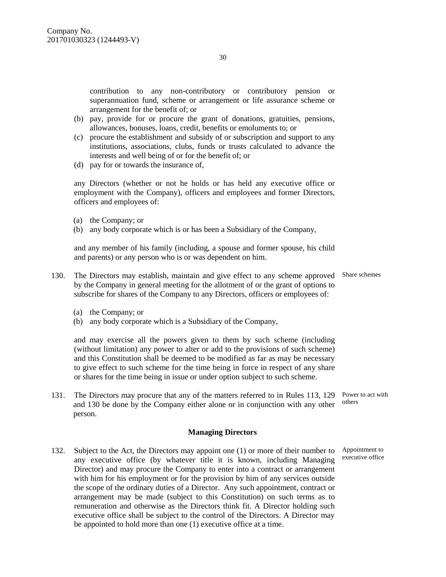contribution to any non-contributory or contributory pension or superannuation fund, scheme or arrangement or life assurance scheme or arrangement for the benefit of; or

- (b) pay, provide for or procure the grant of donations, gratuities, pensions, allowances, bonuses, loans, credit, benefits or emoluments to; or
- (c) procure the establishment and subsidy of or subscription and support to any institutions, associations, clubs, funds or trusts calculated to advance the interests and well being of or for the benefit of; or
- (d) pay for or towards the insurance of,

any Directors (whether or not he holds or has held any executive office or employment with the Company), officers and employees and former Directors, officers and employees of:

- (a) the Company; or
- (b) any body corporate which is or has been a Subsidiary of the Company,

and any member of his family (including, a spouse and former spouse, his child and parents) or any person who is or was dependent on him.

- 130. The Directors may establish, maintain and give effect to any scheme approved Share schemes by the Company in general meeting for the allotment of or the grant of options to subscribe for shares of the Company to any Directors, officers or employees of:
	- (a) the Company; or
	- (b) any body corporate which is a Subsidiary of the Company,

and may exercise all the powers given to them by such scheme (including (without limitation) any power to alter or add to the provisions of such scheme) and this Constitution shall be deemed to be modified as far as may be necessary to give effect to such scheme for the time being in force in respect of any share or shares for the time being in issue or under option subject to such scheme.

131. The Directors may procure that any of the matters referred to in Rules 113, 129 Power to act with and 130 be done by the Company either alone or in conjunction with any other person. others

#### **Managing Directors**

132. Subject to the Act, the Directors may appoint one (1) or more of their number to any executive office (by whatever title it is known, including Managing Director) and may procure the Company to enter into a contract or arrangement with him for his employment or for the provision by him of any services outside the scope of the ordinary duties of a Director. Any such appointment, contract or arrangement may be made (subject to this Constitution) on such terms as to remuneration and otherwise as the Directors think fit. A Director holding such executive office shall be subject to the control of the Directors. A Director may be appointed to hold more than one (1) executive office at a time.

Appointment to executive office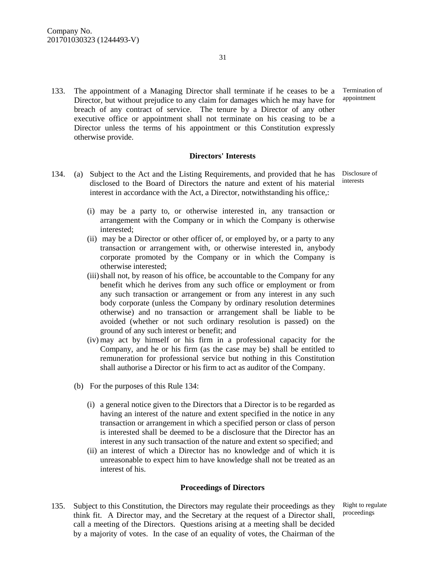133. The appointment of a Managing Director shall terminate if he ceases to be a Director, but without prejudice to any claim for damages which he may have for breach of any contract of service. The tenure by a Director of any other executive office or appointment shall not terminate on his ceasing to be a Director unless the terms of his appointment or this Constitution expressly otherwise provide.

#### **Directors' Interests**

- 134. (a) Subject to the Act and the Listing Requirements, and provided that he has disclosed to the Board of Directors the nature and extent of his material interest in accordance with the Act, a Director, notwithstanding his office,:
	- (i) may be a party to, or otherwise interested in, any transaction or arrangement with the Company or in which the Company is otherwise interested;
	- (ii) may be a Director or other officer of, or employed by, or a party to any transaction or arrangement with, or otherwise interested in, anybody corporate promoted by the Company or in which the Company is otherwise interested;
	- (iii)shall not, by reason of his office, be accountable to the Company for any benefit which he derives from any such office or employment or from any such transaction or arrangement or from any interest in any such body corporate (unless the Company by ordinary resolution determines otherwise) and no transaction or arrangement shall be liable to be avoided (whether or not such ordinary resolution is passed) on the ground of any such interest or benefit; and
	- (iv) may act by himself or his firm in a professional capacity for the Company, and he or his firm (as the case may be) shall be entitled to remuneration for professional service but nothing in this Constitution shall authorise a Director or his firm to act as auditor of the Company.
	- (b) For the purposes of this Rule 134:
		- (i) a general notice given to the Directors that a Director is to be regarded as having an interest of the nature and extent specified in the notice in any transaction or arrangement in which a specified person or class of person is interested shall be deemed to be a disclosure that the Director has an interest in any such transaction of the nature and extent so specified; and
		- (ii) an interest of which a Director has no knowledge and of which it is unreasonable to expect him to have knowledge shall not be treated as an interest of his.

#### **Proceedings of Directors**

135. Subject to this Constitution, the Directors may regulate their proceedings as they think fit. A Director may, and the Secretary at the request of a Director shall, call a meeting of the Directors. Questions arising at a meeting shall be decided by a majority of votes. In the case of an equality of votes, the Chairman of the

Right to regulate proceedings

Termination of appointment

Disclosure of interests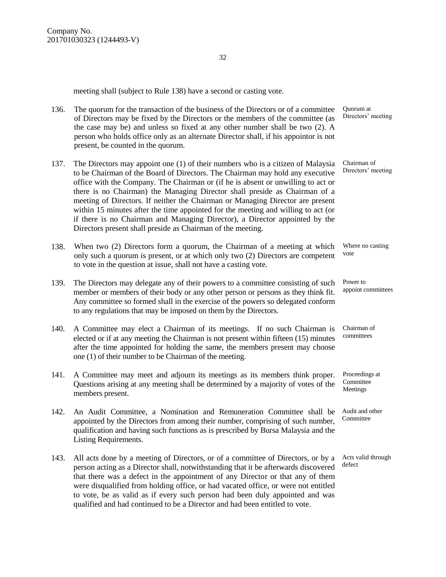meeting shall (subject to Rule 138) have a second or casting vote.

| 136. | The quorum for the transaction of the business of the Directors or of a committee<br>of Directors may be fixed by the Directors or the members of the committee (as<br>the case may be) and unless so fixed at any other number shall be two (2). A<br>person who holds office only as an alternate Director shall, if his appointor is not<br>present, be counted in the quorum.                                                                                                                                                                                                                                                                       | Quorum at<br>Directors' meeting         |
|------|---------------------------------------------------------------------------------------------------------------------------------------------------------------------------------------------------------------------------------------------------------------------------------------------------------------------------------------------------------------------------------------------------------------------------------------------------------------------------------------------------------------------------------------------------------------------------------------------------------------------------------------------------------|-----------------------------------------|
| 137. | The Directors may appoint one (1) of their numbers who is a citizen of Malaysia<br>to be Chairman of the Board of Directors. The Chairman may hold any executive<br>office with the Company. The Chairman or (if he is absent or unwilling to act or<br>there is no Chairman) the Managing Director shall preside as Chairman of a<br>meeting of Directors. If neither the Chairman or Managing Director are present<br>within 15 minutes after the time appointed for the meeting and willing to act (or<br>if there is no Chairman and Managing Director), a Director appointed by the<br>Directors present shall preside as Chairman of the meeting. | Chairman of<br>Directors' meeting       |
| 138. | When two (2) Directors form a quorum, the Chairman of a meeting at which<br>only such a quorum is present, or at which only two (2) Directors are competent<br>to vote in the question at issue, shall not have a casting vote.                                                                                                                                                                                                                                                                                                                                                                                                                         | Where no casting<br>vote                |
| 139. | The Directors may delegate any of their powers to a committee consisting of such<br>member or members of their body or any other person or persons as they think fit.<br>Any committee so formed shall in the exercise of the powers so delegated conform<br>to any regulations that may be imposed on them by the Directors.                                                                                                                                                                                                                                                                                                                           | Power to<br>appoint committees          |
| 140. | A Committee may elect a Chairman of its meetings. If no such Chairman is<br>elected or if at any meeting the Chairman is not present within fifteen (15) minutes<br>after the time appointed for holding the same, the members present may choose<br>one $(1)$ of their number to be Chairman of the meeting.                                                                                                                                                                                                                                                                                                                                           | Chairman of<br>committees               |
| 141. | A Committee may meet and adjourn its meetings as its members think proper.<br>Questions arising at any meeting shall be determined by a majority of votes of the<br>members present.                                                                                                                                                                                                                                                                                                                                                                                                                                                                    | Proceedings at<br>Committee<br>Meetings |
| 142. | An Audit Committee, a Nomination and Remuneration Committee shall be<br>appointed by the Directors from among their number, comprising of such number,<br>qualification and having such functions as is prescribed by Bursa Malaysia and the<br>Listing Requirements.                                                                                                                                                                                                                                                                                                                                                                                   | Audit and other<br>Committee            |
| 143. | All acts done by a meeting of Directors, or of a committee of Directors, or by a<br>person acting as a Director shall, notwithstanding that it be afterwards discovered<br>that there was a defect in the appointment of any Director or that any of them<br>were disqualified from holding office, or had vacated office, or were not entitled<br>to vote, be as valid as if every such person had been duly appointed and was<br>qualified and had continued to be a Director and had been entitled to vote.                                                                                                                                          | Acts valid through<br>defect            |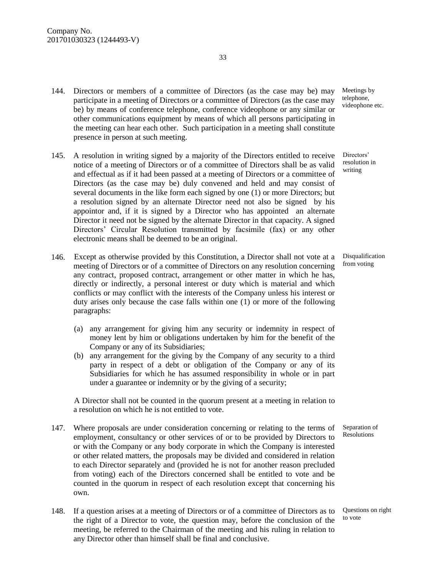- 144. Directors or members of a committee of Directors (as the case may be) may participate in a meeting of Directors or a committee of Directors (as the case may be) by means of conference telephone, conference videophone or any similar or other communications equipment by means of which all persons participating in the meeting can hear each other. Such participation in a meeting shall constitute presence in person at such meeting.
- 145. A resolution in writing signed by a majority of the Directors entitled to receive notice of a meeting of Directors or of a committee of Directors shall be as valid and effectual as if it had been passed at a meeting of Directors or a committee of Directors (as the case may be) duly convened and held and may consist of several documents in the like form each signed by one (1) or more Directors; but a resolution signed by an alternate Director need not also be signed by his appointor and, if it is signed by a Director who has appointed an alternate Director it need not be signed by the alternate Director in that capacity. A signed Directors' Circular Resolution transmitted by facsimile (fax) or any other electronic means shall be deemed to be an original.
- 146. Except as otherwise provided by this Constitution, a Director shall not vote at a meeting of Directors or of a committee of Directors on any resolution concerning any contract, proposed contract, arrangement or other matter in which he has, directly or indirectly, a personal interest or duty which is material and which conflicts or may conflict with the interests of the Company unless his interest or duty arises only because the case falls within one (1) or more of the following paragraphs:
	- (a) any arrangement for giving him any security or indemnity in respect of money lent by him or obligations undertaken by him for the benefit of the Company or any of its Subsidiaries;
	- (b) any arrangement for the giving by the Company of any security to a third party in respect of a debt or obligation of the Company or any of its Subsidiaries for which he has assumed responsibility in whole or in part under a guarantee or indemnity or by the giving of a security;

A Director shall not be counted in the quorum present at a meeting in relation to a resolution on which he is not entitled to vote.

- 147. Where proposals are under consideration concerning or relating to the terms of employment, consultancy or other services of or to be provided by Directors to or with the Company or any body corporate in which the Company is interested or other related matters, the proposals may be divided and considered in relation to each Director separately and (provided he is not for another reason precluded from voting) each of the Directors concerned shall be entitled to vote and be counted in the quorum in respect of each resolution except that concerning his own.
- 148. If a question arises at a meeting of Directors or of a committee of Directors as to the right of a Director to vote, the question may, before the conclusion of the meeting, be referred to the Chairman of the meeting and his ruling in relation to any Director other than himself shall be final and conclusive.

Meetings by telephone, videophone etc.

Directors' resolution in writing

Disqualification from voting

Separation of Resolutions

Questions on right to vote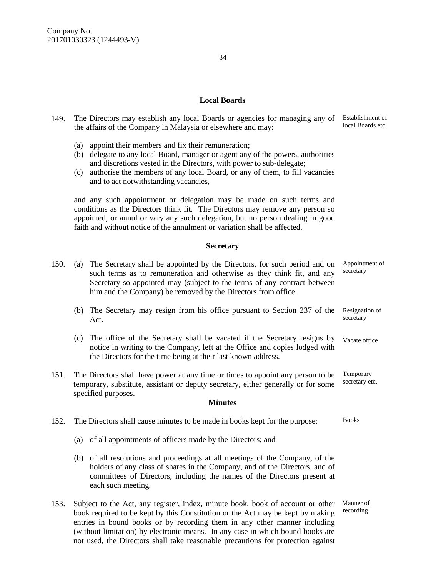- 149. The Directors may establish any local Boards or agencies for managing any of Establishment of the affairs of the Company in Malaysia or elsewhere and may:
	- (a) appoint their members and fix their remuneration;
	- (b) delegate to any local Board, manager or agent any of the powers, authorities and discretions vested in the Directors, with power to sub-delegate;
	- (c) authorise the members of any local Board, or any of them, to fill vacancies and to act notwithstanding vacancies,

and any such appointment or delegation may be made on such terms and conditions as the Directors think fit. The Directors may remove any person so appointed, or annul or vary any such delegation, but no person dealing in good faith and without notice of the annulment or variation shall be affected.

#### **Secretary**

- 150. (a) The Secretary shall be appointed by the Directors, for such period and on such terms as to remuneration and otherwise as they think fit, and any Secretary so appointed may (subject to the terms of any contract between him and the Company) be removed by the Directors from office. (b) The Secretary may resign from his office pursuant to Section 237 of the Act. (c) The office of the Secretary shall be vacated if the Secretary resigns by notice in writing to the Company, left at the Office and copies lodged with the Directors for the time being at their last known address. Appointment of secretary Resignation of secretary Vacate office 151. The Directors shall have power at any time or times to appoint any person to be temporary, substitute, assistant or deputy secretary, either generally or for some specified purposes. Temporary secretary etc. **Minutes** 152. The Directors shall cause minutes to be made in books kept for the purpose: (a) of all appointments of officers made by the Directors; and (b) of all resolutions and proceedings at all meetings of the Company, of the holders of any class of shares in the Company, and of the Directors, and of committees of Directors, including the names of the Directors present at each such meeting. Books
- 153. Subject to the Act, any register, index, minute book, book of account or other book required to be kept by this Constitution or the Act may be kept by making entries in bound books or by recording them in any other manner including (without limitation) by electronic means. In any case in which bound books are not used, the Directors shall take reasonable precautions for protection against

Manner of recording

local Boards etc.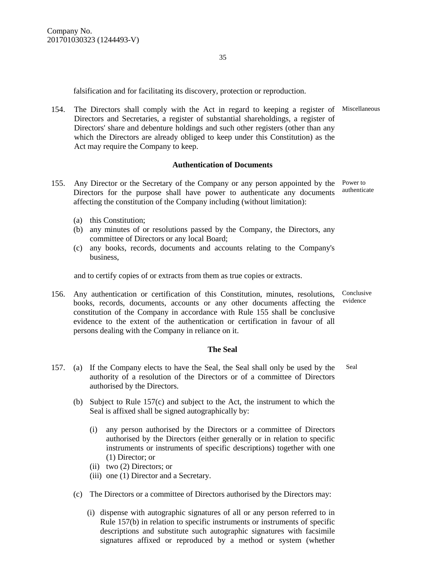falsification and for facilitating its discovery, protection or reproduction.

154. The Directors shall comply with the Act in regard to keeping a register of Miscellaneous Directors and Secretaries, a register of substantial shareholdings, a register of Directors' share and debenture holdings and such other registers (other than any which the Directors are already obliged to keep under this Constitution) as the Act may require the Company to keep.

#### **Authentication of Documents**

- 155. Any Director or the Secretary of the Company or any person appointed by the Power to Directors for the purpose shall have power to authenticate any documents affecting the constitution of the Company including (without limitation):
	- (a) this Constitution;
	- (b) any minutes of or resolutions passed by the Company, the Directors, any committee of Directors or any local Board;
	- (c) any books, records, documents and accounts relating to the Company's business,

and to certify copies of or extracts from them as true copies or extracts.

156. Any authentication or certification of this Constitution, minutes, resolutions, books, records, documents, accounts or any other documents affecting the constitution of the Company in accordance with Rule 155 shall be conclusive evidence to the extent of the authentication or certification in favour of all persons dealing with the Company in reliance on it. evidence

#### **The Seal**

- 157. (a) If the Company elects to have the Seal, the Seal shall only be used by the authority of a resolution of the Directors or of a committee of Directors authorised by the Directors. Seal
	- (b) Subject to Rule 157(c) and subject to the Act, the instrument to which the Seal is affixed shall be signed autographically by:
		- (i) any person authorised by the Directors or a committee of Directors authorised by the Directors (either generally or in relation to specific instruments or instruments of specific descriptions) together with one (1) Director; or
		- (ii) two (2) Directors; or
		- (iii) one (1) Director and a Secretary.
		- (c) The Directors or a committee of Directors authorised by the Directors may:
			- (i) dispense with autographic signatures of all or any person referred to in Rule 157(b) in relation to specific instruments or instruments of specific descriptions and substitute such autographic signatures with facsimile signatures affixed or reproduced by a method or system (whether

authenticate

Conclusive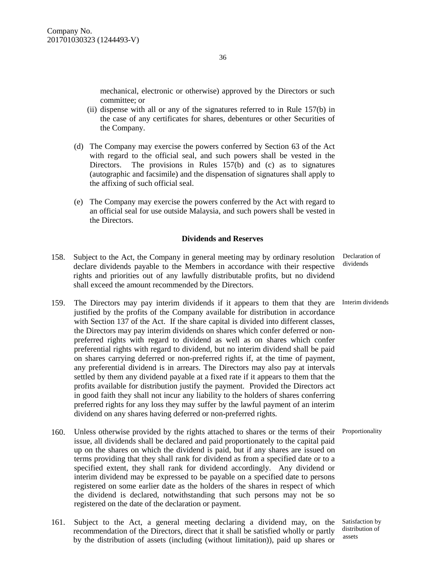mechanical, electronic or otherwise) approved by the Directors or such committee; or

- (ii) dispense with all or any of the signatures referred to in Rule 157(b) in the case of any certificates for shares, debentures or other Securities of the Company.
- (d) The Company may exercise the powers conferred by Section 63 of the Act with regard to the official seal, and such powers shall be vested in the Directors. The provisions in Rules  $157(b)$  and (c) as to signatures (autographic and facsimile) and the dispensation of signatures shall apply to the affixing of such official seal.
- (e) The Company may exercise the powers conferred by the Act with regard to an official seal for use outside Malaysia, and such powers shall be vested in the Directors.

#### **Dividends and Reserves**

- 158. Subject to the Act, the Company in general meeting may by ordinary resolution declare dividends payable to the Members in accordance with their respective rights and priorities out of any lawfully distributable profits, but no dividend shall exceed the amount recommended by the Directors.
- 159. The Directors may pay interim dividends if it appears to them that they are Interim dividends justified by the profits of the Company available for distribution in accordance with Section 137 of the Act. If the share capital is divided into different classes, the Directors may pay interim dividends on shares which confer deferred or nonpreferred rights with regard to dividend as well as on shares which confer preferential rights with regard to dividend, but no interim dividend shall be paid on shares carrying deferred or non-preferred rights if, at the time of payment, any preferential dividend is in arrears. The Directors may also pay at intervals settled by them any dividend payable at a fixed rate if it appears to them that the profits available for distribution justify the payment. Provided the Directors act in good faith they shall not incur any liability to the holders of shares conferring preferred rights for any loss they may suffer by the lawful payment of an interim dividend on any shares having deferred or non-preferred rights.
- 160. Unless otherwise provided by the rights attached to shares or the terms of their Proportionality issue, all dividends shall be declared and paid proportionately to the capital paid up on the shares on which the dividend is paid, but if any shares are issued on terms providing that they shall rank for dividend as from a specified date or to a specified extent, they shall rank for dividend accordingly. Any dividend or interim dividend may be expressed to be payable on a specified date to persons registered on some earlier date as the holders of the shares in respect of which the dividend is declared, notwithstanding that such persons may not be so registered on the date of the declaration or payment.
- 161. Subject to the Act, a general meeting declaring a dividend may, on the recommendation of the Directors, direct that it shall be satisfied wholly or partly by the distribution of assets (including (without limitation)), paid up shares or

Declaration of dividends

Satisfaction by distribution of assets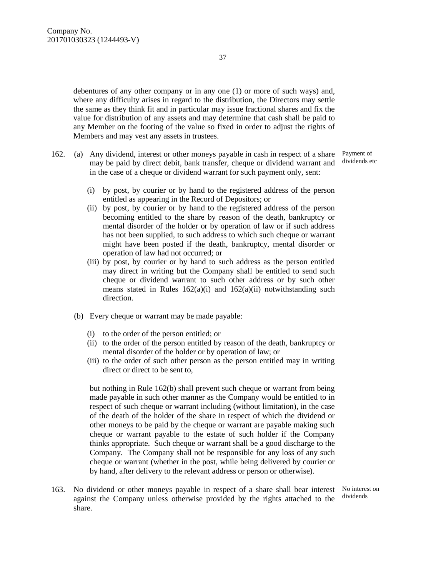debentures of any other company or in any one (1) or more of such ways) and, where any difficulty arises in regard to the distribution, the Directors may settle the same as they think fit and in particular may issue fractional shares and fix the value for distribution of any assets and may determine that cash shall be paid to any Member on the footing of the value so fixed in order to adjust the rights of Members and may vest any assets in trustees.

- 162. (a) Any dividend, interest or other moneys payable in cash in respect of a share may be paid by direct debit, bank transfer, cheque or dividend warrant and in the case of a cheque or dividend warrant for such payment only, sent:
- Payment of dividends etc
	- (i) by post, by courier or by hand to the registered address of the person entitled as appearing in the Record of Depositors; or
	- (ii) by post, by courier or by hand to the registered address of the person becoming entitled to the share by reason of the death, bankruptcy or mental disorder of the holder or by operation of law or if such address has not been supplied, to such address to which such cheque or warrant might have been posted if the death, bankruptcy, mental disorder or operation of law had not occurred; or
	- (iii) by post, by courier or by hand to such address as the person entitled may direct in writing but the Company shall be entitled to send such cheque or dividend warrant to such other address or by such other means stated in Rules  $162(a)(i)$  and  $162(a)(ii)$  notwithstanding such direction.
	- (b) Every cheque or warrant may be made payable:
		- (i) to the order of the person entitled; or
		- (ii) to the order of the person entitled by reason of the death, bankruptcy or mental disorder of the holder or by operation of law; or
		- (iii) to the order of such other person as the person entitled may in writing direct or direct to be sent to,

but nothing in Rule 162(b) shall prevent such cheque or warrant from being made payable in such other manner as the Company would be entitled to in respect of such cheque or warrant including (without limitation), in the case of the death of the holder of the share in respect of which the dividend or other moneys to be paid by the cheque or warrant are payable making such cheque or warrant payable to the estate of such holder if the Company thinks appropriate. Such cheque or warrant shall be a good discharge to the Company. The Company shall not be responsible for any loss of any such cheque or warrant (whether in the post, while being delivered by courier or by hand, after delivery to the relevant address or person or otherwise).

163. No dividend or other moneys payable in respect of a share shall bear interest against the Company unless otherwise provided by the rights attached to the share.

No interest on dividends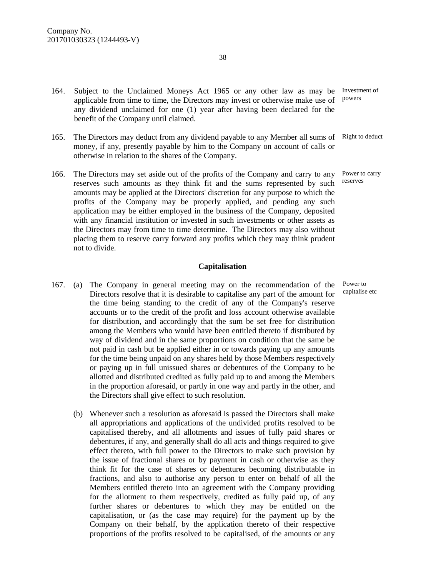- 164. Subject to the Unclaimed Moneys Act 1965 or any other law as may be Investment of applicable from time to time, the Directors may invest or otherwise make use of any dividend unclaimed for one (1) year after having been declared for the benefit of the Company until claimed. powers
- 165. The Directors may deduct from any dividend payable to any Member all sums of Right to deduct money, if any, presently payable by him to the Company on account of calls or otherwise in relation to the shares of the Company.
- 166. The Directors may set aside out of the profits of the Company and carry to any reserves such amounts as they think fit and the sums represented by such amounts may be applied at the Directors' discretion for any purpose to which the profits of the Company may be properly applied, and pending any such application may be either employed in the business of the Company, deposited with any financial institution or invested in such investments or other assets as the Directors may from time to time determine. The Directors may also without placing them to reserve carry forward any profits which they may think prudent not to divide. Power to carry reserves

#### **Capitalisation**

- 167. (a) The Company in general meeting may on the recommendation of the Directors resolve that it is desirable to capitalise any part of the amount for the time being standing to the credit of any of the Company's reserve accounts or to the credit of the profit and loss account otherwise available for distribution, and accordingly that the sum be set free for distribution among the Members who would have been entitled thereto if distributed by way of dividend and in the same proportions on condition that the same be not paid in cash but be applied either in or towards paying up any amounts for the time being unpaid on any shares held by those Members respectively or paying up in full unissued shares or debentures of the Company to be allotted and distributed credited as fully paid up to and among the Members in the proportion aforesaid, or partly in one way and partly in the other, and the Directors shall give effect to such resolution.
	- (b) Whenever such a resolution as aforesaid is passed the Directors shall make all appropriations and applications of the undivided profits resolved to be capitalised thereby, and all allotments and issues of fully paid shares or debentures, if any, and generally shall do all acts and things required to give effect thereto, with full power to the Directors to make such provision by the issue of fractional shares or by payment in cash or otherwise as they think fit for the case of shares or debentures becoming distributable in fractions, and also to authorise any person to enter on behalf of all the Members entitled thereto into an agreement with the Company providing for the allotment to them respectively, credited as fully paid up, of any further shares or debentures to which they may be entitled on the capitalisation, or (as the case may require) for the payment up by the Company on their behalf, by the application thereto of their respective proportions of the profits resolved to be capitalised, of the amounts or any

Power to capitalise etc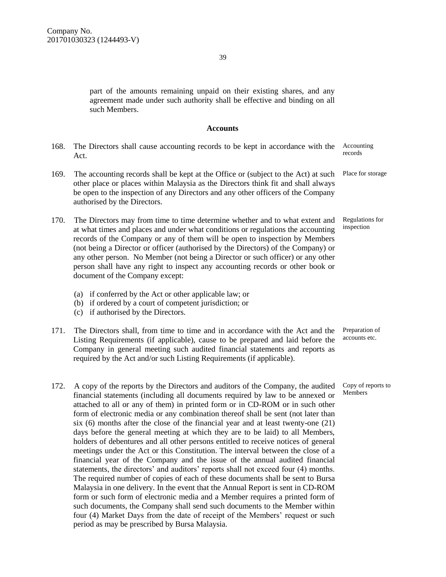part of the amounts remaining unpaid on their existing shares, and any agreement made under such authority shall be effective and binding on all such Members.

#### **Accounts**

| 168. | The Directors shall cause accounting records to be kept in accordance with the<br>Act.                                                                                                                                                                                                                                                                                                                                                                                                                                                       | Accounting<br>records         |
|------|----------------------------------------------------------------------------------------------------------------------------------------------------------------------------------------------------------------------------------------------------------------------------------------------------------------------------------------------------------------------------------------------------------------------------------------------------------------------------------------------------------------------------------------------|-------------------------------|
| 169. | The accounting records shall be kept at the Office or (subject to the Act) at such<br>other place or places within Malaysia as the Directors think fit and shall always<br>be open to the inspection of any Directors and any other officers of the Company<br>authorised by the Directors.                                                                                                                                                                                                                                                  | Place for storage             |
| 170. | The Directors may from time to time determine whether and to what extent and<br>at what times and places and under what conditions or regulations the accounting<br>records of the Company or any of them will be open to inspection by Members<br>(not being a Director or officer (authorised by the Directors) of the Company) or<br>any other person. No Member (not being a Director or such officer) or any other<br>person shall have any right to inspect any accounting records or other book or<br>document of the Company except: | Regulations for<br>inspection |

- (a) if conferred by the Act or other applicable law; or
- (b) if ordered by a court of competent jurisdiction; or
- (c) if authorised by the Directors.
- 171. The Directors shall, from time to time and in accordance with the Act and the Listing Requirements (if applicable), cause to be prepared and laid before the Company in general meeting such audited financial statements and reports as required by the Act and/or such Listing Requirements (if applicable).
- 172. A copy of the reports by the Directors and auditors of the Company, the audited financial statements (including all documents required by law to be annexed or attached to all or any of them) in printed form or in CD-ROM or in such other form of electronic media or any combination thereof shall be sent (not later than six (6) months after the close of the financial year and at least twenty-one (21) days before the general meeting at which they are to be laid) to all Members, holders of debentures and all other persons entitled to receive notices of general meetings under the Act or this Constitution. The interval between the close of a financial year of the Company and the issue of the annual audited financial statements, the directors' and auditors' reports shall not exceed four (4) months. The required number of copies of each of these documents shall be sent to Bursa Malaysia in one delivery. In the event that the Annual Report is sent in CD-ROM form or such form of electronic media and a Member requires a printed form of such documents, the Company shall send such documents to the Member within four (4) Market Days from the date of receipt of the Members' request or such period as may be prescribed by Bursa Malaysia.

Preparation of accounts etc.

Copy of reports to Members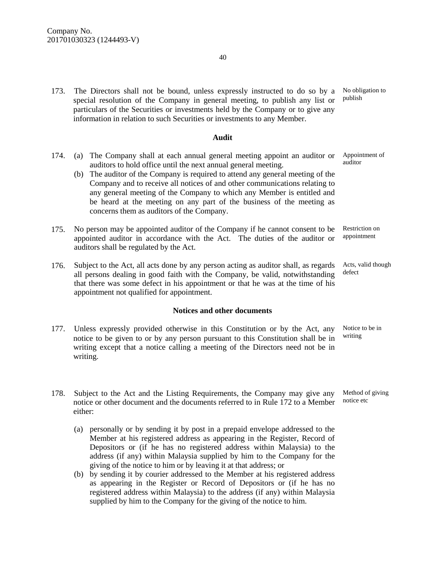173. The Directors shall not be bound, unless expressly instructed to do so by a special resolution of the Company in general meeting, to publish any list or particulars of the Securities or investments held by the Company or to give any information in relation to such Securities or investments to any Member.

#### **Audit**

- 174. (a) The Company shall at each annual general meeting appoint an auditor or auditors to hold office until the next annual general meeting.
	- (b) The auditor of the Company is required to attend any general meeting of the Company and to receive all notices of and other communications relating to any general meeting of the Company to which any Member is entitled and be heard at the meeting on any part of the business of the meeting as concerns them as auditors of the Company.
- 175. No person may be appointed auditor of the Company if he cannot consent to be appointed auditor in accordance with the Act. The duties of the auditor or auditors shall be regulated by the Act.
- 176. Subject to the Act, all acts done by any person acting as auditor shall, as regards all persons dealing in good faith with the Company, be valid, notwithstanding that there was some defect in his appointment or that he was at the time of his appointment not qualified for appointment. defect

#### **Notices and other documents**

- 177. Unless expressly provided otherwise in this Constitution or by the Act, any notice to be given to or by any person pursuant to this Constitution shall be in writing except that a notice calling a meeting of the Directors need not be in writing.
- 178. Subject to the Act and the Listing Requirements, the Company may give any notice or other document and the documents referred to in Rule 172 to a Member either:
	- (a) personally or by sending it by post in a prepaid envelope addressed to the Member at his registered address as appearing in the Register, Record of Depositors or (if he has no registered address within Malaysia) to the address (if any) within Malaysia supplied by him to the Company for the giving of the notice to him or by leaving it at that address; or
	- (b) by sending it by courier addressed to the Member at his registered address as appearing in the Register or Record of Depositors or (if he has no registered address within Malaysia) to the address (if any) within Malaysia supplied by him to the Company for the giving of the notice to him.

No obligation to publish

Appointment of auditor

Restriction on appointment

Acts, valid though

Notice to be in writing

Method of giving notice etc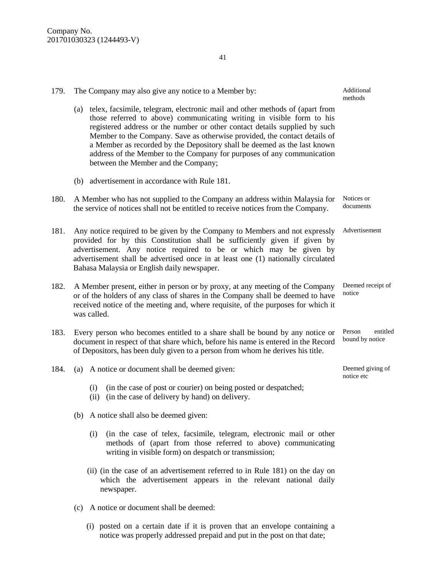| 179. | The Company may also give any notice to a Member by:                                                                                                                                                                                                                                                                                                                                                                                                                                                              | Additional<br>methods          |  |
|------|-------------------------------------------------------------------------------------------------------------------------------------------------------------------------------------------------------------------------------------------------------------------------------------------------------------------------------------------------------------------------------------------------------------------------------------------------------------------------------------------------------------------|--------------------------------|--|
|      | (a) telex, facsimile, telegram, electronic mail and other methods of (apart from<br>those referred to above) communicating writing in visible form to his<br>registered address or the number or other contact details supplied by such<br>Member to the Company. Save as otherwise provided, the contact details of<br>a Member as recorded by the Depository shall be deemed as the last known<br>address of the Member to the Company for purposes of any communication<br>between the Member and the Company; |                                |  |
|      | (b) advertisement in accordance with Rule 181.                                                                                                                                                                                                                                                                                                                                                                                                                                                                    |                                |  |
| 180. | Notices or<br>A Member who has not supplied to the Company an address within Malaysia for<br>documents<br>the service of notices shall not be entitled to receive notices from the Company.                                                                                                                                                                                                                                                                                                                       |                                |  |
| 181. | Advertisement<br>Any notice required to be given by the Company to Members and not expressly<br>provided for by this Constitution shall be sufficiently given if given by<br>advertisement. Any notice required to be or which may be given by<br>advertisement shall be advertised once in at least one (1) nationally circulated<br>Bahasa Malaysia or English daily newspaper.                                                                                                                                 |                                |  |
| 182. | Deemed receipt of<br>A Member present, either in person or by proxy, at any meeting of the Company<br>notice<br>or of the holders of any class of shares in the Company shall be deemed to have<br>received notice of the meeting and, where requisite, of the purposes for which it<br>was called.                                                                                                                                                                                                               |                                |  |
| 183. | Every person who becomes entitled to a share shall be bound by any notice or<br>Person<br>entitled<br>bound by notice<br>document in respect of that share which, before his name is entered in the Record<br>of Depositors, has been duly given to a person from whom he derives his title.                                                                                                                                                                                                                      |                                |  |
| 184. | (a) A notice or document shall be deemed given:                                                                                                                                                                                                                                                                                                                                                                                                                                                                   | Deemed giving of<br>notice etc |  |
|      | (in the case of post or courier) on being posted or despatched;<br>(i)<br>(in the case of delivery by hand) on delivery.<br>(ii)                                                                                                                                                                                                                                                                                                                                                                                  |                                |  |
|      | (b) A notice shall also be deemed given:                                                                                                                                                                                                                                                                                                                                                                                                                                                                          |                                |  |
|      | (in the case of telex, facsimile, telegram, electronic mail or other<br>(i)<br>methods of (apart from those referred to above) communicating<br>writing in visible form) on despatch or transmission;                                                                                                                                                                                                                                                                                                             |                                |  |
|      | (ii) (in the case of an advertisement referred to in Rule 181) on the day on<br>which the advertisement appears in the relevant national daily<br>newspaper.                                                                                                                                                                                                                                                                                                                                                      |                                |  |
|      | A notice or document shall be deemed:<br>(c)                                                                                                                                                                                                                                                                                                                                                                                                                                                                      |                                |  |

41

(i) posted on a certain date if it is proven that an envelope containing a notice was properly addressed prepaid and put in the post on that date;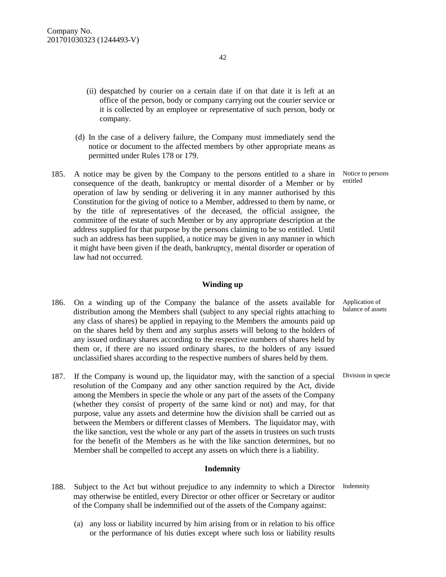- (ii) despatched by courier on a certain date if on that date it is left at an office of the person, body or company carrying out the courier service or it is collected by an employee or representative of such person, body or company.
- (d) In the case of a delivery failure, the Company must immediately send the notice or document to the affected members by other appropriate means as permitted under Rules 178 or 179.
- 185. A notice may be given by the Company to the persons entitled to a share in consequence of the death, bankruptcy or mental disorder of a Member or by operation of law by sending or delivering it in any manner authorised by this Constitution for the giving of notice to a Member, addressed to them by name, or by the title of representatives of the deceased, the official assignee, the committee of the estate of such Member or by any appropriate description at the address supplied for that purpose by the persons claiming to be so entitled. Until such an address has been supplied, a notice may be given in any manner in which it might have been given if the death, bankruptcy, mental disorder or operation of law had not occurred.

#### **Winding up**

- 186. On a winding up of the Company the balance of the assets available for distribution among the Members shall (subject to any special rights attaching to any class of shares) be applied in repaying to the Members the amounts paid up on the shares held by them and any surplus assets will belong to the holders of any issued ordinary shares according to the respective numbers of shares held by them or, if there are no issued ordinary shares, to the holders of any issued unclassified shares according to the respective numbers of shares held by them.
- 187. If the Company is wound up, the liquidator may, with the sanction of a special resolution of the Company and any other sanction required by the Act, divide among the Members in specie the whole or any part of the assets of the Company (whether they consist of property of the same kind or not) and may, for that purpose, value any assets and determine how the division shall be carried out as between the Members or different classes of Members. The liquidator may, with the like sanction, vest the whole or any part of the assets in trustees on such trusts for the benefit of the Members as he with the like sanction determines, but no Member shall be compelled to accept any assets on which there is a liability.

#### **Indemnity**

- 188. Subject to the Act but without prejudice to any indemnity to which a Director Indemnity may otherwise be entitled, every Director or other officer or Secretary or auditor of the Company shall be indemnified out of the assets of the Company against:
	- (a) any loss or liability incurred by him arising from or in relation to his office or the performance of his duties except where such loss or liability results

Notice to persons entitled

Application of balance of assets

Division in specie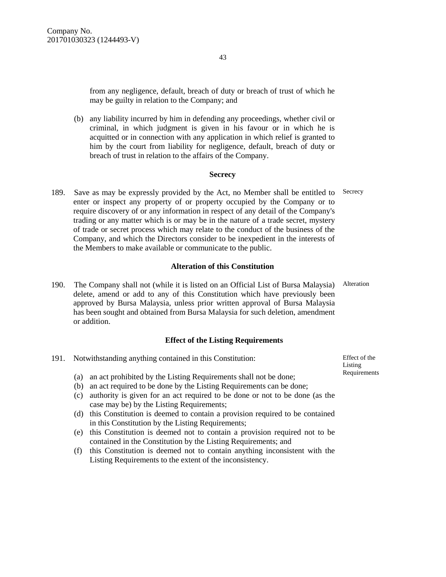43

from any negligence, default, breach of duty or breach of trust of which he may be guilty in relation to the Company; and

(b) any liability incurred by him in defending any proceedings, whether civil or criminal, in which judgment is given in his favour or in which he is acquitted or in connection with any application in which relief is granted to him by the court from liability for negligence, default, breach of duty or breach of trust in relation to the affairs of the Company.

#### **Secrecy**

189. Save as may be expressly provided by the Act, no Member shall be entitled to Secrecy enter or inspect any property of or property occupied by the Company or to require discovery of or any information in respect of any detail of the Company's trading or any matter which is or may be in the nature of a trade secret, mystery of trade or secret process which may relate to the conduct of the business of the Company, and which the Directors consider to be inexpedient in the interests of the Members to make available or communicate to the public.

#### **Alteration of this Constitution**

190. The Company shall not (while it is listed on an Official List of Bursa Malaysia) delete, amend or add to any of this Constitution which have previously been approved by Bursa Malaysia, unless prior written approval of Bursa Malaysia has been sought and obtained from Bursa Malaysia for such deletion, amendment or addition. Alteration

#### **Effect of the Listing Requirements**

| 191. | Notwithstanding anything contained in this Constitution: |                                                                                                                                             | Effect of the           |
|------|----------------------------------------------------------|---------------------------------------------------------------------------------------------------------------------------------------------|-------------------------|
|      | (a)<br>(b)                                               | an act prohibited by the Listing Requirements shall not be done;<br>an act required to be done by the Listing Requirements can be done;     | Listing<br>Requirements |
|      | (c)                                                      | authority is given for an act required to be done or not to be done (as the<br>case may be) by the Listing Requirements;                    |                         |
|      | (d)                                                      | this Constitution is deemed to contain a provision required to be contained<br>in this Constitution by the Listing Requirements;            |                         |
|      | (e)                                                      | this Constitution is deemed not to contain a provision required not to be                                                                   |                         |
|      |                                                          | contained in the Constitution by the Listing Requirements; and<br>this Constitution is deemed not to contain anything inconsistent with the |                         |

Listing Requirements to the extent of the inconsistency.